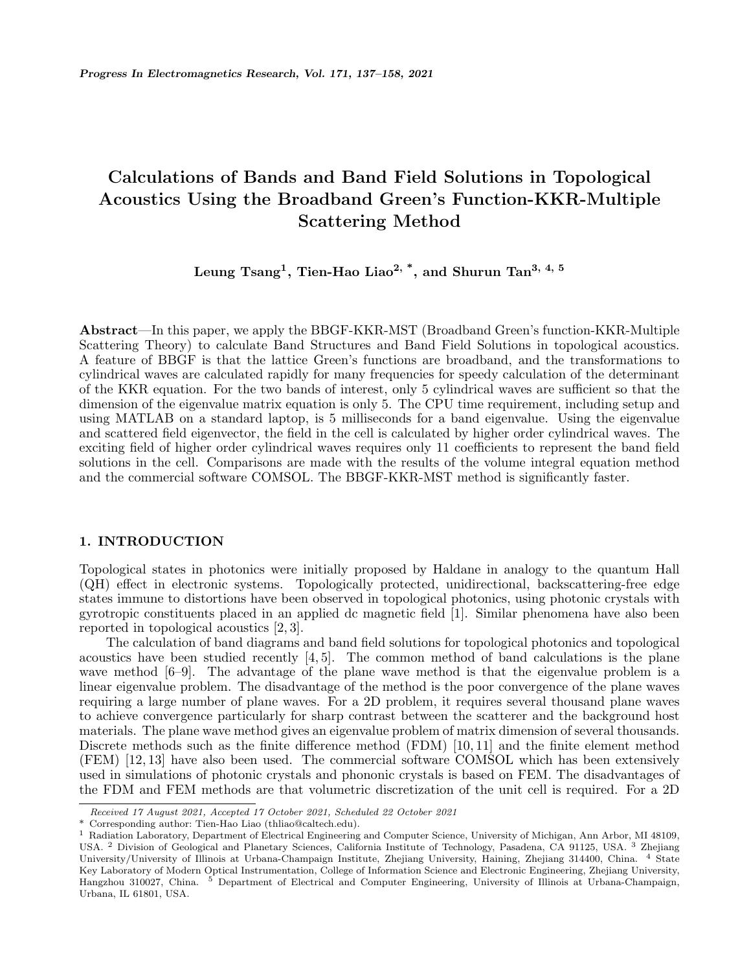# **Calculations of Bands and Band Field Solutions in Topological Acoustics Using the Broadband Green's Function-KKR-Multiple Scattering Method**

**Leung Tsang<sup>1</sup> , Tien-Hao Liao2, \*, and Shurun Tan3, 4, 5**

**Abstract**—In this paper, we apply the BBGF-KKR-MST (Broadband Green's function-KKR-Multiple Scattering Theory) to calculate Band Structures and Band Field Solutions in topological acoustics. A feature of BBGF is that the lattice Green's functions are broadband, and the transformations to cylindrical waves are calculated rapidly for many frequencies for speedy calculation of the determinant of the KKR equation. For the two bands of interest, only 5 cylindrical waves are sufficient so that the dimension of the eigenvalue matrix equation is only 5. The CPU time requirement, including setup and using MATLAB on a standard laptop, is 5 milliseconds for a band eigenvalue. Using the eigenvalue and scattered field eigenvector, the field in the cell is calculated by higher order cylindrical waves. The exciting field of higher order cylindrical waves requires only 11 coefficients to represent the band field solutions in the cell. Comparisons are made with the results of the volume integral equation method and the commercial software COMSOL. The BBGF-KKR-MST method is significantly faster.

# **1. INTRODUCTION**

Topological states in photonics were initially proposed by Haldane in analogy to the quantum Hall (QH) effect in electronic systems. Topologically protected, unidirectional, backscattering-free edge states immune to distortions have been observed in topological photonics, using photonic crystals with gyrotropic constituents placed in an applied dc magnetic field [1]. Similar phenomena have also been reported in topological acoustics [2, 3].

The calculation of band diagrams and band field solutions for topological photonics and topological acoustics have been studied recently  $[4, 5]$ . The common method of band calculations is the plane wave method [6–9]. The advantage of the plane wave method is that the eigenvalue problem is a linear eigenvalue problem. The disadvantage of the method is the poor convergence of the plane waves requiring a large number of plane waves. For a 2D problem, it requires several thousand plane waves to achieve convergence particularly for sharp contrast between the scatterer and the background host materials. The plane wave method gives an eigenvalue problem of matrix dimension of several thousands. Discrete methods such as the finite difference method (FDM) [10, 11] and the finite element method (FEM) [12, 13] have also been used. The commercial software COMSOL which has been extensively used in simulations of photonic crystals and phononic crystals is based on FEM. The disadvantages of the FDM and FEM methods are that volumetric discretization of the unit cell is required. For a 2D

Corresponding author: Tien-Hao Liao (thliao@caltech.edu).

*Received 17 August 2021, Accepted 17 October 2021, Scheduled 22 October 2021*

<sup>1</sup> Radiation Laboratory, Department of Electrical Engineering and Computer Science, University of Michigan, Ann Arbor, MI 48109, USA. <sup>2</sup> Division of Geological and Planetary Sciences, California Institute of Technology, Pasadena, CA 91125, USA. <sup>3</sup> Zhejiang University/University of Illinois at Urbana-Champaign Institute, Zhejiang University, Haining, Zhejiang 314400, China. <sup>4</sup> State Key Laboratory of Modern Optical Instrumentation, College of Information Science and Electronic Engineering, Zhejiang University, Hangzhou 310027, China. <sup>5</sup> Department of Electrical and Computer Engineering, University of Illinois at Urbana-Champaign, Urbana, IL 61801, USA.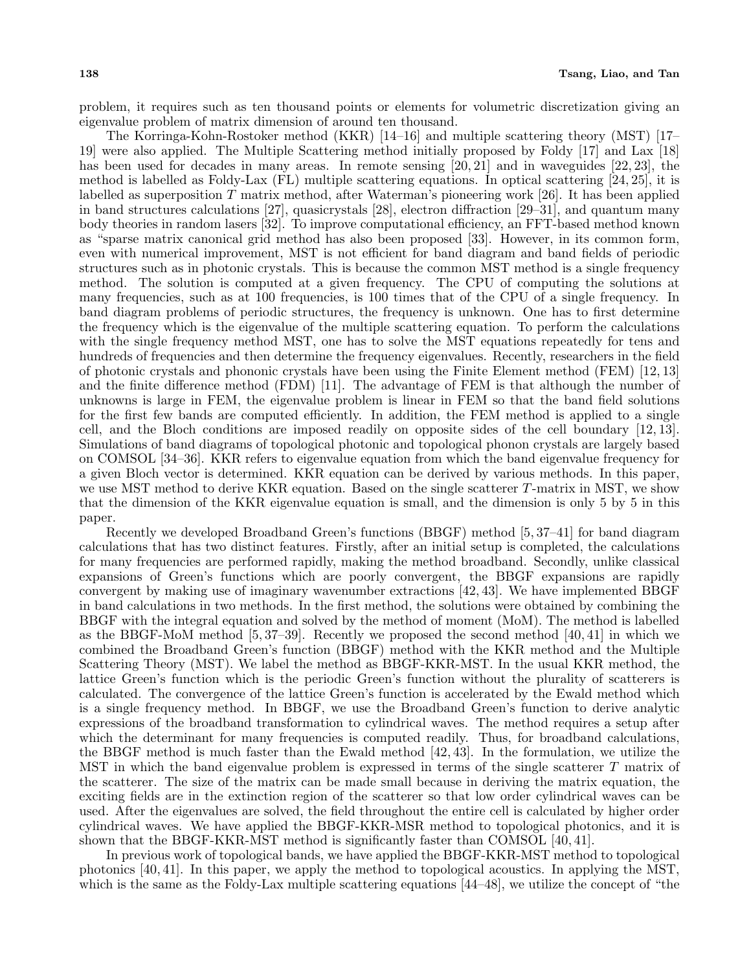problem, it requires such as ten thousand points or elements for volumetric discretization giving an eigenvalue problem of matrix dimension of around ten thousand.

The Korringa-Kohn-Rostoker method (KKR) [14–16] and multiple scattering theory (MST) [17– 19] were also applied. The Multiple Scattering method initially proposed by Foldy [17] and Lax [18] has been used for decades in many areas. In remote sensing [20, 21] and in waveguides [22, 23], the method is labelled as Foldy-Lax (FL) multiple scattering equations. In optical scattering [24, 25], it is labelled as superposition *T* matrix method, after Waterman's pioneering work [26]. It has been applied in band structures calculations [27], quasicrystals [28], electron diffraction [29–31], and quantum many body theories in random lasers [32]. To improve computational efficiency, an FFT-based method known as "sparse matrix canonical grid method has also been proposed [33]. However, in its common form, even with numerical improvement, MST is not efficient for band diagram and band fields of periodic structures such as in photonic crystals. This is because the common MST method is a single frequency method. The solution is computed at a given frequency. The CPU of computing the solutions at many frequencies, such as at 100 frequencies, is 100 times that of the CPU of a single frequency. In band diagram problems of periodic structures, the frequency is unknown. One has to first determine the frequency which is the eigenvalue of the multiple scattering equation. To perform the calculations with the single frequency method MST, one has to solve the MST equations repeatedly for tens and hundreds of frequencies and then determine the frequency eigenvalues. Recently, researchers in the field of photonic crystals and phononic crystals have been using the Finite Element method (FEM) [12, 13] and the finite difference method (FDM) [11]. The advantage of FEM is that although the number of unknowns is large in FEM, the eigenvalue problem is linear in FEM so that the band field solutions for the first few bands are computed efficiently. In addition, the FEM method is applied to a single cell, and the Bloch conditions are imposed readily on opposite sides of the cell boundary [12, 13]. Simulations of band diagrams of topological photonic and topological phonon crystals are largely based on COMSOL [34–36]. KKR refers to eigenvalue equation from which the band eigenvalue frequency for a given Bloch vector is determined. KKR equation can be derived by various methods. In this paper, we use MST method to derive KKR equation. Based on the single scatterer *T*-matrix in MST, we show that the dimension of the KKR eigenvalue equation is small, and the dimension is only 5 by 5 in this paper.

Recently we developed Broadband Green's functions (BBGF) method [5, 37–41] for band diagram calculations that has two distinct features. Firstly, after an initial setup is completed, the calculations for many frequencies are performed rapidly, making the method broadband. Secondly, unlike classical expansions of Green's functions which are poorly convergent, the BBGF expansions are rapidly convergent by making use of imaginary wavenumber extractions [42, 43]. We have implemented BBGF in band calculations in two methods. In the first method, the solutions were obtained by combining the BBGF with the integral equation and solved by the method of moment (MoM). The method is labelled as the BBGF-MoM method [5, 37–39]. Recently we proposed the second method [40, 41] in which we combined the Broadband Green's function (BBGF) method with the KKR method and the Multiple Scattering Theory (MST). We label the method as BBGF-KKR-MST. In the usual KKR method, the lattice Green's function which is the periodic Green's function without the plurality of scatterers is calculated. The convergence of the lattice Green's function is accelerated by the Ewald method which is a single frequency method. In BBGF, we use the Broadband Green's function to derive analytic expressions of the broadband transformation to cylindrical waves. The method requires a setup after which the determinant for many frequencies is computed readily. Thus, for broadband calculations, the BBGF method is much faster than the Ewald method [42, 43]. In the formulation, we utilize the MST in which the band eigenvalue problem is expressed in terms of the single scatterer *T* matrix of the scatterer. The size of the matrix can be made small because in deriving the matrix equation, the exciting fields are in the extinction region of the scatterer so that low order cylindrical waves can be used. After the eigenvalues are solved, the field throughout the entire cell is calculated by higher order cylindrical waves. We have applied the BBGF-KKR-MSR method to topological photonics, and it is shown that the BBGF-KKR-MST method is significantly faster than COMSOL [40, 41].

In previous work of topological bands, we have applied the BBGF-KKR-MST method to topological photonics [40, 41]. In this paper, we apply the method to topological acoustics. In applying the MST, which is the same as the Foldy-Lax multiple scattering equations [44–48], we utilize the concept of "the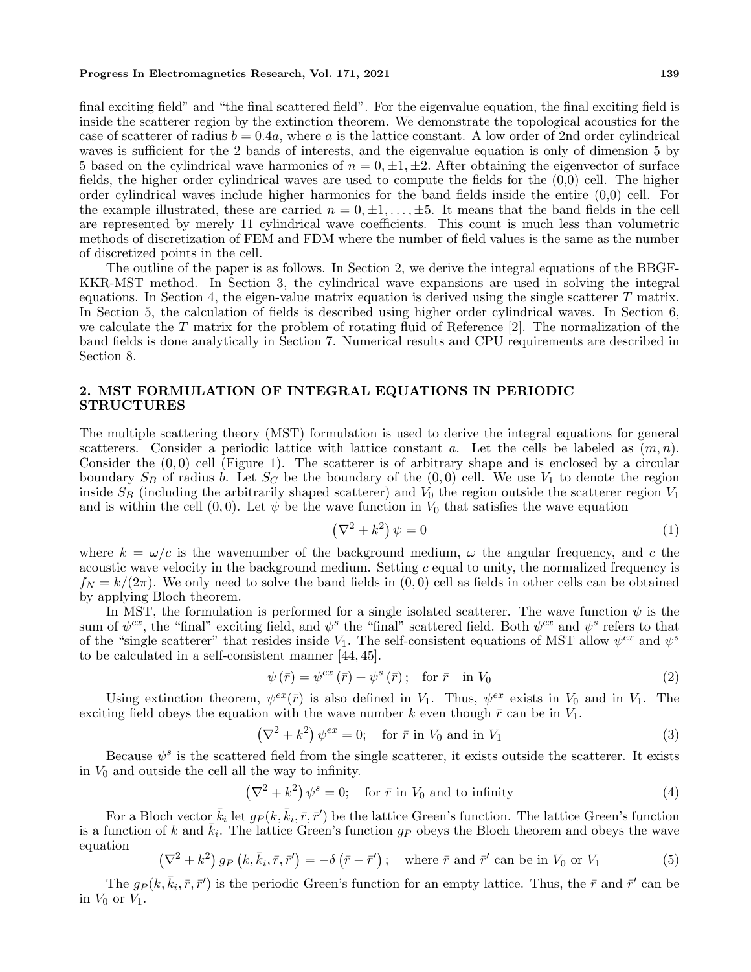final exciting field" and "the final scattered field". For the eigenvalue equation, the final exciting field is inside the scatterer region by the extinction theorem. We demonstrate the topological acoustics for the case of scatterer of radius  $b = 0.4a$ , where *a* is the lattice constant. A low order of 2nd order cylindrical waves is sufficient for the 2 bands of interests, and the eigenvalue equation is only of dimension 5 by 5 based on the cylindrical wave harmonics of  $n = 0, \pm 1, \pm 2$ . After obtaining the eigenvector of surface fields, the higher order cylindrical waves are used to compute the fields for the (0,0) cell. The higher order cylindrical waves include higher harmonics for the band fields inside the entire (0,0) cell. For the example illustrated, these are carried  $n = 0, \pm 1, \ldots, \pm 5$ . It means that the band fields in the cell are represented by merely 11 cylindrical wave coefficients. This count is much less than volumetric methods of discretization of FEM and FDM where the number of field values is the same as the number of discretized points in the cell.

The outline of the paper is as follows. In Section 2, we derive the integral equations of the BBGF-KKR-MST method. In Section 3, the cylindrical wave expansions are used in solving the integral equations. In Section 4, the eigen-value matrix equation is derived using the single scatterer *T* matrix. In Section 5, the calculation of fields is described using higher order cylindrical waves. In Section 6, we calculate the *T* matrix for the problem of rotating fluid of Reference [2]. The normalization of the band fields is done analytically in Section 7. Numerical results and CPU requirements are described in Section 8.

# **2. MST FORMULATION OF INTEGRAL EQUATIONS IN PERIODIC STRUCTURES**

The multiple scattering theory (MST) formulation is used to derive the integral equations for general scatterers. Consider a periodic lattice with lattice constant *a*. Let the cells be labeled as (*m, n*). Consider the (0*,* 0) cell (Figure 1). The scatterer is of arbitrary shape and is enclosed by a circular boundary  $S_B$  of radius *b*. Let  $S_C$  be the boundary of the  $(0,0)$  cell. We use  $V_1$  to denote the region inside *S<sup>B</sup>* (including the arbitrarily shaped scatterer) and *V*<sup>0</sup> the region outside the scatterer region *V*<sup>1</sup> and is within the cell  $(0,0)$ . Let  $\psi$  be the wave function in  $V_0$  that satisfies the wave equation

$$
\left(\nabla^2 + k^2\right)\psi = 0\tag{1}
$$

where  $k = \omega/c$  is the wavenumber of the background medium,  $\omega$  the angular frequency, and c the acoustic wave velocity in the background medium. Setting *c* equal to unity, the normalized frequency is  $f_N = k/(2\pi)$ . We only need to solve the band fields in  $(0,0)$  cell as fields in other cells can be obtained by applying Bloch theorem.

In MST, the formulation is performed for a single isolated scatterer. The wave function  $\psi$  is the sum of  $\psi^{ex}$ , the "final" exciting field, and  $\psi^s$  the "final" scattered field. Both  $\psi^{ex}$  and  $\psi^s$  refers to that of the "single scatterer" that resides inside  $V_1$ . The self-consistent equations of MST allow  $\psi^{ex}$  and  $\psi^s$ to be calculated in a self-consistent manner [44, 45].

$$
\psi\left(\bar{r}\right) = \psi^{ex}\left(\bar{r}\right) + \psi^{s}\left(\bar{r}\right); \quad \text{for } \bar{r} \quad \text{in } V_0 \tag{2}
$$

Using extinction theorem,  $\psi^{ex}(\bar{r})$  is also defined in  $V_1$ . Thus,  $\psi^{ex}$  exists in  $V_0$  and in  $V_1$ . The exciting field obeys the equation with the wave number  $k$  even though  $\bar{r}$  can be in  $V_1$ .

$$
\left(\nabla^2 + k^2\right)\psi^{ex} = 0; \quad \text{for } \bar{r} \text{ in } V_0 \text{ and in } V_1 \tag{3}
$$

Because  $\psi^s$  is the scattered field from the single scatterer, it exists outside the scatterer. It exists in *V*<sup>0</sup> and outside the cell all the way to infinity.

$$
(\nabla^2 + k^2) \psi^s = 0; \quad \text{for } \bar{r} \text{ in } V_0 \text{ and to infinity}
$$
 (4)

For a Bloch vector  $\bar{k}_i$  let  $g_P(k, \bar{k}_i, \bar{r}, \bar{r}')$  be the lattice Green's function. The lattice Green's function is a function of *k* and  $\bar{k}_i$ . The lattice Green's function  $g_P$  obeys the Bloch theorem and obeys the wave equation

$$
\left(\nabla^2 + k^2\right)g_P\left(k, \bar{k}_i, \bar{r}, \bar{r}'\right) = -\delta\left(\bar{r} - \bar{r}'\right); \quad \text{where } \bar{r} \text{ and } \bar{r}' \text{ can be in } V_0 \text{ or } V_1 \tag{5}
$$

The  $g_P(k, \bar{k}_i, \bar{r}, \bar{r}')$  is the periodic Green's function for an empty lattice. Thus, the  $\bar{r}$  and  $\bar{r}'$  can be in  $V_0$  or  $V_1$ .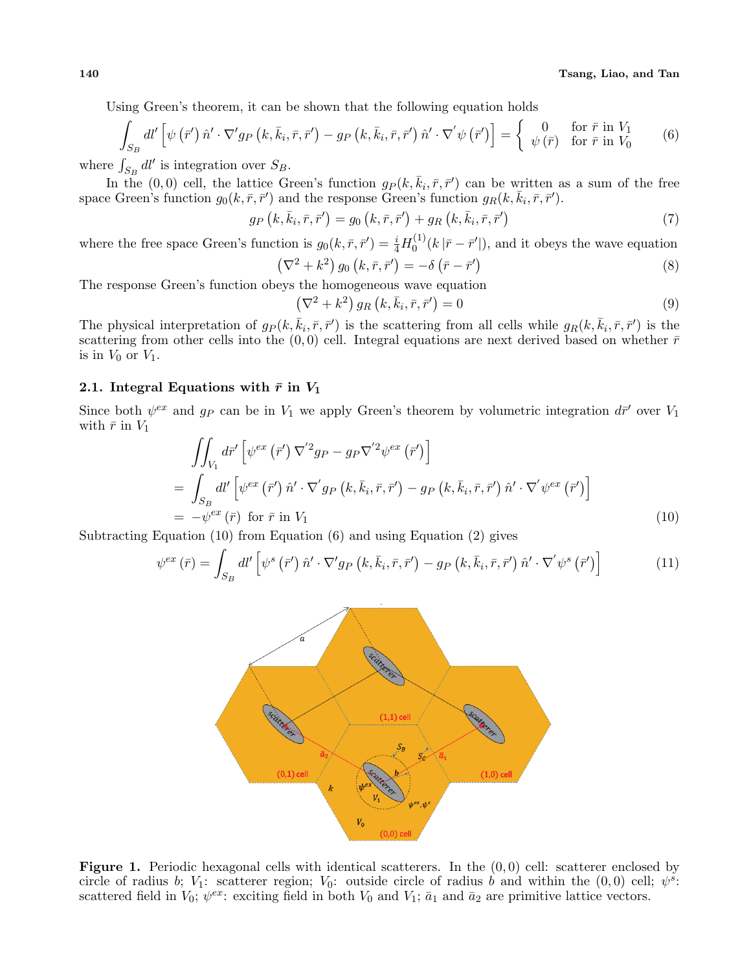**140 Tsang, Liao, and Tan**

Using Green's theorem, it can be shown that the following equation holds

$$
\int_{S_B} dl' \left[ \psi \left( \vec{r}' \right) \hat{n}' \cdot \nabla' g_P \left( k, \bar{k}_i, \bar{r}, \bar{r}' \right) - g_P \left( k, \bar{k}_i, \bar{r}, \bar{r}' \right) \hat{n}' \cdot \nabla' \psi \left( \bar{r}' \right) \right] = \begin{cases} 0 & \text{for } \bar{r} \text{ in } V_1 \\ \psi \left( \bar{r} \right) & \text{for } \bar{r} \text{ in } V_0 \end{cases} \tag{6}
$$

where  $\int_{S_B} dl'$  is integration over  $S_B$ .

In the (0,0) cell, the lattice Green's function  $g_P(k, \bar{k}_i, \bar{r}, \bar{r}')$  can be written as a sum of the free space Green's function  $g_0(k, \bar{r}, \bar{r}')$  and the response Green's function  $g_R(k, \bar{k}_i, \bar{r}, \bar{r}')$ .

$$
g_P\left(k,\bar{k}_i,\bar{r},\bar{r}'\right) = g_0\left(k,\bar{r},\bar{r}'\right) + g_R\left(k,\bar{k}_i,\bar{r},\bar{r}'\right) \tag{7}
$$

where the free space Green's function is  $g_0(k, \bar{r}, \bar{r}') = \frac{i}{4} H_0^{(1)}$  $\int_0^{(1)} (k |\bar{r} - \bar{r}'|)$ , and it obeys the wave equation

$$
\left(\nabla^2 + k^2\right) g_0\left(k, \bar{r}, \bar{r}'\right) = -\delta \left(\bar{r} - \bar{r}'\right) \tag{8}
$$

The response Green's function obeys the homogeneous wave equation

$$
\left(\nabla^2 + k^2\right) g_R\left(k, \bar{k}_i, \bar{r}, \bar{r}'\right) = 0\tag{9}
$$

The physical interpretation of  $g_P(k, \bar{k}_i, \bar{r}, \bar{r}')$  is the scattering from all cells while  $g_R(k, \bar{k}_i, \bar{r}, \bar{r}')$  is the scattering from other cells into the  $(0,0)$  cell. Integral equations are next derived based on whether  $\bar{r}$ is in  $V_0$  or  $V_1$ .

# **2.1.** Integral Equations with  $\bar{r}$  in  $V_1$

Since both  $\psi^{ex}$  and  $g_P$  can be in  $V_1$  we apply Green's theorem by volumetric integration  $d\bar{r}'$  over  $V_1$ with  $\bar{r}$  in  $V_1$ 

$$
\iint_{V_1} d\vec{r}' \left[ \psi^{ex} (\vec{r}') \nabla^{'2} g_P - g_P \nabla^{'2} \psi^{ex} (\vec{r}') \right]
$$
\n
$$
= \int_{S_B} d\vec{l}' \left[ \psi^{ex} (\vec{r}') \hat{n}' \cdot \nabla^{'} g_P (k, \bar{k}_i, \bar{r}, \bar{r}') - g_P (k, \bar{k}_i, \bar{r}, \bar{r}') \hat{n}' \cdot \nabla^{'} \psi^{ex} (\vec{r}') \right]
$$
\n
$$
= -\psi^{ex} (\bar{r}) \text{ for } \bar{r} \text{ in } V_1
$$
\n(10)

Subtracting Equation (10) from Equation (6) and using Equation (2) gives

$$
\psi^{ex}(\bar{r}) = \int_{S_B} dl' \left[ \psi^s \left( \bar{r}' \right) \hat{n}' \cdot \nabla' g_P \left( k, \bar{k}_i, \bar{r}, \bar{r}' \right) - g_P \left( k, \bar{k}_i, \bar{r}, \bar{r}' \right) \hat{n}' \cdot \nabla' \psi^s \left( \bar{r}' \right) \right]
$$
(11)



**Figure 1.** Periodic hexagonal cells with identical scatterers. In the (0*,* 0) cell: scatterer enclosed by circle of radius *b*; *V*<sub>1</sub>: scatterer region; *V*<sub>0</sub>: outside circle of radius *b* and within the  $(0,0)$  cell;  $\psi^s$ . scattered field in  $V_0$ ;  $\psi^{ex}$ : exciting field in both  $V_0$  and  $V_1$ ;  $\bar{a}_1$  and  $\bar{a}_2$  are primitive lattice vectors.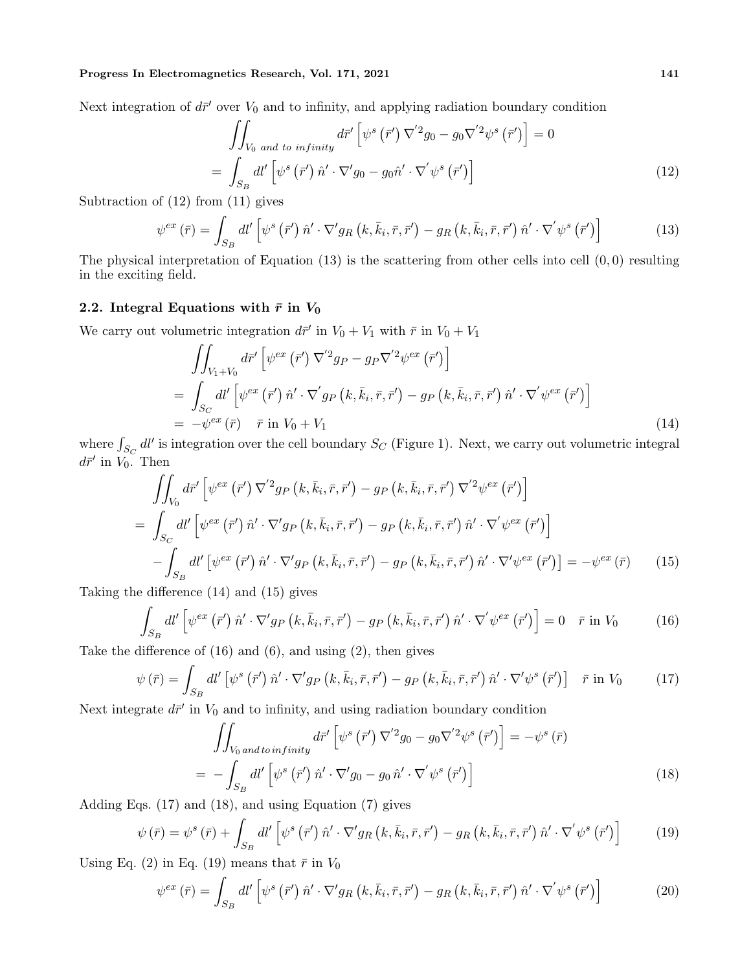Next integration of  $d\bar{r}'$  over  $V_0$  and to infinity, and applying radiation boundary condition

$$
\iint_{V_0 \text{ and to infinity}} d\vec{r}' \left[ \psi^s (\vec{r}') \nabla^{'2} g_0 - g_0 \nabla^{'2} \psi^s (\vec{r}') \right] = 0
$$
\n
$$
= \int_{S_B} dl' \left[ \psi^s (\vec{r}') \hat{n}' \cdot \nabla' g_0 - g_0 \hat{n}' \cdot \nabla' \psi^s (\vec{r}') \right]
$$
\n(12)

Subtraction of (12) from (11) gives

$$
\psi^{ex}\left(\bar{r}\right) = \int_{S_B} dl'\left[\psi^s\left(\bar{r}'\right)\hat{n}'\cdot\nabla' g_R\left(k,\bar{k}_i,\bar{r},\bar{r}'\right) - g_R\left(k,\bar{k}_i,\bar{r},\bar{r}'\right)\hat{n}'\cdot\nabla'\psi^s\left(\bar{r}'\right)\right]
$$
(13)

The physical interpretation of Equation (13) is the scattering from other cells into cell (0*,* 0) resulting in the exciting field.

# 2.2. Integral Equations with  $\bar{r}$  in  $V_0$

We carry out volumetric integration  $d\bar{r}'$  in  $V_0 + V_1$  with  $\bar{r}$  in  $V_0 + V_1$ 

$$
\iint_{V_1+V_0} d\vec{r}' \left[ \psi^{ex} (\vec{r}') \nabla'^2 g_P - g_P \nabla'^2 \psi^{ex} (\vec{r}') \right]
$$
\n
$$
= \int_{S_C} d\vec{l}' \left[ \psi^{ex} (\vec{r}') \hat{n}' \cdot \nabla' g_P (k, \bar{k}_i, \bar{r}, \bar{r}') - g_P (k, \bar{k}_i, \bar{r}, \bar{r}') \hat{n}' \cdot \nabla' \psi^{ex} (\vec{r}') \right]
$$
\n
$$
= -\psi^{ex} (\bar{r}) \quad \bar{r} \text{ in } V_0 + V_1 \tag{14}
$$

where  $\int_{S_C} dl'$  is integration over the cell boundary  $S_C$  (Figure 1). Next, we carry out volumetric integral  $d\bar{r}'$  in *V*<sub>0</sub>. Then

$$
\iint_{V_0} d\vec{r}' \left[ \psi^{ex} (\vec{r}') \nabla^{'2} g_P \left( k, \bar{k}_i, \bar{r}, \vec{r}' \right) - g_P \left( k, \bar{k}_i, \bar{r}, \vec{r}' \right) \nabla^{'2} \psi^{ex} (\vec{r}') \right]
$$
\n
$$
= \int_{S_C} dl' \left[ \psi^{ex} (\vec{r}') \hat{n}' \cdot \nabla' g_P \left( k, \bar{k}_i, \bar{r}, \vec{r}' \right) - g_P \left( k, \bar{k}_i, \bar{r}, \vec{r}' \right) \hat{n}' \cdot \nabla' \psi^{ex} (\vec{r}') \right]
$$
\n
$$
- \int_{S_B} dl' \left[ \psi^{ex} (\vec{r}') \hat{n}' \cdot \nabla' g_P \left( k, \bar{k}_i, \bar{r}, \vec{r}' \right) - g_P \left( k, \bar{k}_i, \bar{r}, \vec{r}' \right) \hat{n}' \cdot \nabla' \psi^{ex} (\vec{r}') \right] = -\psi^{ex} (\bar{r}) \qquad (15)
$$

Taking the difference (14) and (15) gives

$$
\int_{S_B} dl' \left[ \psi^{ex} \left( \bar{r}' \right) \hat{n}' \cdot \nabla' g_P \left( k, \bar{k}_i, \bar{r}, \bar{r}' \right) - g_P \left( k, \bar{k}_i, \bar{r}, \bar{r}' \right) \hat{n}' \cdot \nabla' \psi^{ex} \left( \bar{r}' \right) \right] = 0 \quad \bar{r} \text{ in } V_0 \tag{16}
$$

Take the difference of  $(16)$  and  $(6)$ , and using  $(2)$ , then gives

$$
\psi\left(\bar{r}\right) = \int_{S_B} dl'\left[\psi^s\left(\bar{r}'\right)\hat{n}'\cdot\nabla' g_P\left(k,\bar{k}_i,\bar{r},\bar{r}'\right) - g_P\left(k,\bar{k}_i,\bar{r},\bar{r}'\right)\hat{n}'\cdot\nabla'\psi^s\left(\bar{r}'\right)\right] \quad \bar{r} \text{ in } V_0 \tag{17}
$$

Next integrate  $d\bar{r}'$  in  $V_0$  and to infinity, and using radiation boundary condition

$$
\iint_{V_0 \text{ and to infinity}} d\vec{r}' \left[ \psi^s (\vec{r}') \nabla^{'2} g_0 - g_0 \nabla^{'2} \psi^s (\vec{r}') \right] = -\psi^s (\vec{r})
$$
\n
$$
= -\int_{S_B} dl' \left[ \psi^s (\vec{r}') \hat{n}' \cdot \nabla' g_0 - g_0 \hat{n}' \cdot \nabla' \psi^s (\vec{r}') \right]
$$
\n(18)

Adding Eqs. (17) and (18), and using Equation (7) gives

$$
\psi\left(\bar{r}\right) = \psi^s\left(\bar{r}\right) + \int_{S_B} dl'\left[\psi^s\left(\bar{r}'\right)\hat{n}'\cdot\nabla' g_R\left(k,\bar{k}_i,\bar{r},\bar{r}'\right) - g_R\left(k,\bar{k}_i,\bar{r},\bar{r}'\right)\hat{n}'\cdot\nabla'\psi^s\left(\bar{r}'\right)\right] \tag{19}
$$

Using Eq. (2) in Eq. (19) means that  $\bar{r}$  in  $V_0$ 

$$
\psi^{ex}(\bar{r}) = \int_{S_B} dl' \left[ \psi^s \left( \bar{r}' \right) \hat{n}' \cdot \nabla' g_R \left( k, \bar{k}_i, \bar{r}, \bar{r}' \right) - g_R \left( k, \bar{k}_i, \bar{r}, \bar{r}' \right) \hat{n}' \cdot \nabla' \psi^s \left( \bar{r}' \right) \right]
$$
(20)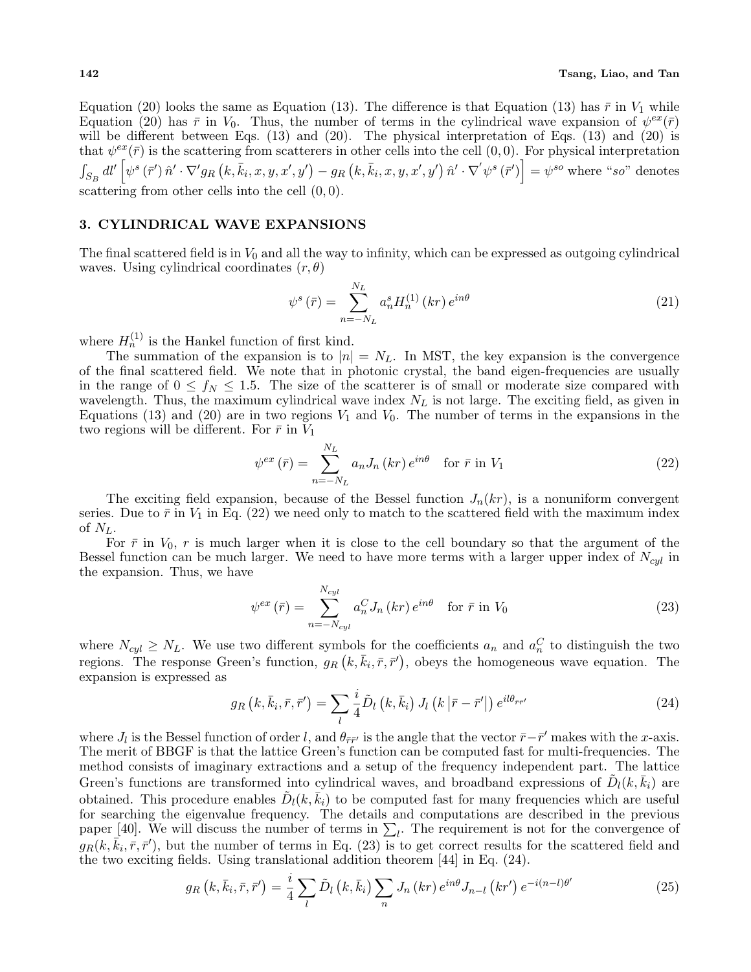Equation (20) looks the same as Equation (13). The difference is that Equation (13) has  $\bar{r}$  in  $V_1$  while Equation (20) has  $\bar{r}$  in  $V_0$ . Thus, the number of terms in the cylindrical wave expansion of  $\psi^{ex}(\bar{r})$ will be different between Eqs.  $(13)$  and  $(20)$ . The physical interpretation of Eqs.  $(13)$  and  $(20)$  is that  $\psi^{ex}(\bar{r})$  is the scattering from scatterers in other cells into the cell  $(0,0)$ . For physical interpretation  $\int_{S_B} dl' \left[ \psi^s(\bar{r}') \hat{n}' \cdot \nabla' g_R(k, \bar{k}_i, x, y, x', y') - g_R(k, \bar{k}_i, x, y, x', y') \hat{n}' \cdot \nabla' \psi^s(\bar{r}') \right] = \psi^{so}$  where "so" denotes scattering from other cells into the cell (0*,* 0).

### **3. CYLINDRICAL WAVE EXPANSIONS**

The final scattered field is in  $V_0$  and all the way to infinity, which can be expressed as outgoing cylindrical waves. Using cylindrical coordinates (*r, θ*)

$$
\psi^{s}(\bar{r}) = \sum_{n=-N_{L}}^{N_{L}} a_{n}^{s} H_{n}^{(1)}\left(kr\right) e^{in\theta} \tag{21}
$$

where  $H_n^{(1)}$  is the Hankel function of first kind.

The summation of the expansion is to  $|n| = N_L$ . In MST, the key expansion is the convergence of the final scattered field. We note that in photonic crystal, the band eigen-frequencies are usually in the range of  $0 \le f_N \le 1.5$ . The size of the scatterer is of small or moderate size compared with wavelength. Thus, the maximum cylindrical wave index *N<sup>L</sup>* is not large. The exciting field, as given in Equations (13) and (20) are in two regions  $V_1$  and  $V_0$ . The number of terms in the expansions in the two regions will be different. For  $\bar{r}$  in  $V_1$ 

$$
\psi^{ex}(\bar{r}) = \sum_{n=-N_L}^{N_L} a_n J_n(kr) e^{in\theta} \quad \text{for } \bar{r} \text{ in } V_1
$$
\n(22)

The exciting field expansion, because of the Bessel function  $J_n(kr)$ , is a nonuniform convergent series. Due to  $\bar{r}$  in  $V_1$  in Eq. (22) we need only to match to the scattered field with the maximum index of  $N_L$ .

For  $\bar{r}$  in  $V_0$ ,  $r$  is much larger when it is close to the cell boundary so that the argument of the Bessel function can be much larger. We need to have more terms with a larger upper index of *Ncyl* in the expansion. Thus, we have

$$
\psi^{ex}(\bar{r}) = \sum_{n=-N_{cyl}}^{N_{cyl}} a_n^C J_n(kr) e^{in\theta} \quad \text{for } \bar{r} \text{ in } V_0 \tag{23}
$$

where  $N_{cyl} \geq N_L$ . We use two different symbols for the coefficients  $a_n$  and  $a_n^C$  to distinguish the two regions. The response Green's function,  $g_R(k, \bar{k}_i, \bar{r}, \bar{r}')$ , obeys the homogeneous wave equation. The expansion is expressed as

$$
g_R\left(k,\bar{k}_i,\bar{r},\bar{r}'\right) = \sum_{l} \frac{i}{4} \tilde{D}_l\left(k,\bar{k}_i\right) J_l\left(k\left|\bar{r}-\bar{r}'\right|\right) e^{il\theta_{\bar{r}\bar{r}'}}
$$
(24)

where *J*<sub>*l*</sub> is the Bessel function of order *l*, and  $\theta_{\bar{r}\bar{r}'}$  is the angle that the vector  $\bar{r} - \bar{r}'$  makes with the *x*-axis. The merit of BBGF is that the lattice Green's function can be computed fast for multi-frequencies. The method consists of imaginary extractions and a setup of the frequency independent part. The lattice Green's functions are transformed into cylindrical waves, and broadband expressions of  $\tilde{D}_l(k,\bar{k}_i)$  are obtained. This procedure enables  $\tilde{D}_l(k,\bar{k}_i)$  to be computed fast for many frequencies which are useful for searching the eigenvalue frequency. The details and computations are described in the previous paper [40]. We will discuss the number of terms in  $\Sigma_l$ . The requirement is not for the convergence of  $g_R(k, \vec{k}_i, \vec{r}, \vec{r}')$ , but the number of terms in Eq. (23) is to get correct results for the scattered field and the two exciting fields. Using translational addition theorem [44] in Eq. (24).

$$
g_R\left(k,\bar{k}_i,\bar{r},\bar{r}'\right) = \frac{i}{4} \sum_l \tilde{D}_l\left(k,\bar{k}_i\right) \sum_n J_n\left(kr\right) e^{in\theta} J_{n-l}\left(kr'\right) e^{-i(n-l)\theta'} \tag{25}
$$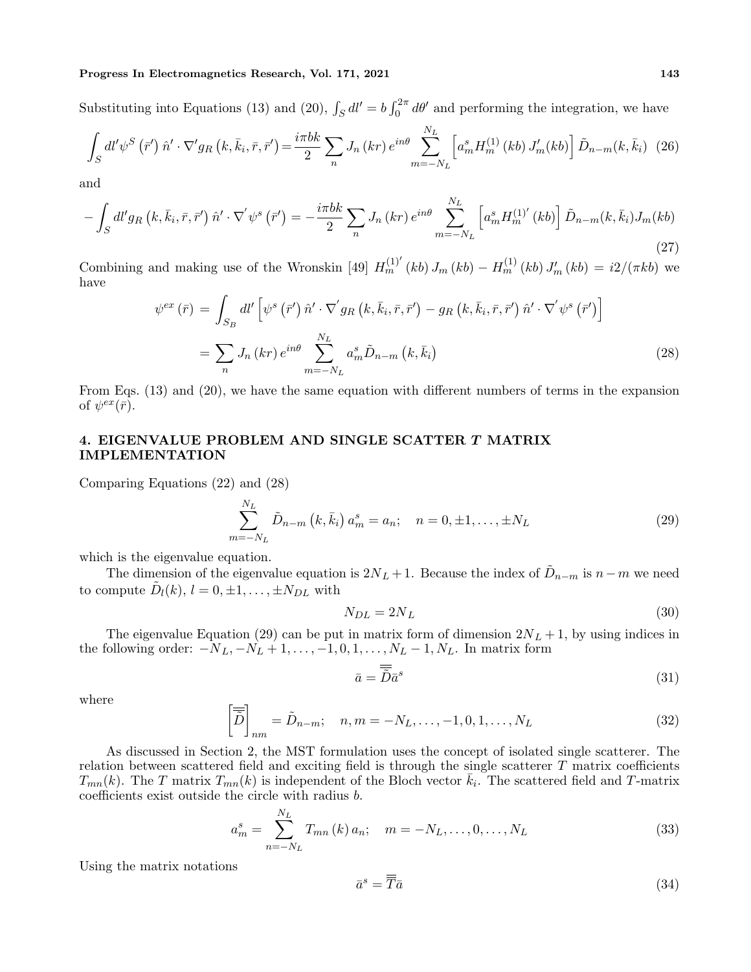Substituting into Equations (13) and (20),  $\int_S dl' = b \int_0^{2\pi} d\theta'$  and performing the integration, we have

$$
\int_{S} dl' \psi^{S} \left( \bar{r}' \right) \hat{n}' \cdot \nabla' g_{R} \left( k, \bar{k}_{i}, \bar{r}, \bar{r}' \right) = \frac{i \pi b k}{2} \sum_{n} J_{n} \left( kr \right) e^{in\theta} \sum_{m=-N_{L}}^{N_{L}} \left[ a_{m}^{s} H_{m}^{(1)} \left( kb \right) J'_{m} \left( kb \right) \right] \tilde{D}_{n-m} \left( k, \bar{k}_{i} \right) \tag{26}
$$

and

$$
-\int_{S} dl' g_{R}\left(k,\bar{k}_{i},\bar{r},\bar{r}'\right) \hat{n}' \cdot \nabla' \psi^{s}\left(\bar{r}'\right) = -\frac{i\pi bk}{2} \sum_{n} J_{n}\left(kr\right) e^{in\theta} \sum_{m=-N_{L}}^{N_{L}} \left[a_{m}^{s} H_{m}^{(1)'}\left(kb\right)\right] \tilde{D}_{n-m}\left(k,\bar{k}_{i}\right) J_{m}\left(kb\right) \tag{27}
$$

Combining and making use of the Wronskin [49]  $H_m^{(1)'}(kb) J_m(kb) - H_m^{(1)}(kb) J'_m(kb) = i2/(\pi kb)$  we have

$$
\psi^{ex}(\bar{r}) = \int_{S_B} dl' \left[ \psi^s \left( \bar{r}' \right) \hat{n}' \cdot \nabla' g_R \left( k, \bar{k}_i, \bar{r}, \bar{r}' \right) - g_R \left( k, \bar{k}_i, \bar{r}, \bar{r}' \right) \hat{n}' \cdot \nabla' \psi^s \left( \bar{r}' \right) \right]
$$

$$
= \sum_n J_n \left( kr \right) e^{in\theta} \sum_{m=-N_L}^{N_L} a_m^s \tilde{D}_{n-m} \left( k, \bar{k}_i \right)
$$
(28)

From Eqs. (13) and (20), we have the same equation with different numbers of terms in the expansion of  $\psi^{ex}(\bar{r})$ .

# **4. EIGENVALUE PROBLEM AND SINGLE SCATTER** *T* **MATRIX IMPLEMENTATION**

Comparing Equations (22) and (28)

$$
\sum_{m=-N_L}^{N_L} \tilde{D}_{n-m} (k, \bar{k}_i) a_m^s = a_n; \quad n = 0, \pm 1, \dots, \pm N_L
$$
 (29)

which is the eigenvalue equation.

The dimension of the eigenvalue equation is  $2N_L + 1$ . Because the index of  $\tilde{D}_{n-m}$  is  $n-m$  we need to compute  $\tilde{D}_l(k)$ ,  $l = 0, \pm 1, \ldots, \pm N_{DL}$  with

$$
N_{DL} = 2N_L \tag{30}
$$

The eigenvalue Equation (29) can be put in matrix form of dimension  $2N_L + 1$ , by using indices in the following order: *−NL, −N<sup>L</sup>* + 1*, . . . , −*1*,* 0*,* 1*, . . . , N<sup>L</sup> −* 1*, NL*. In matrix form

$$
\bar{a} = \overline{\widetilde{D}} \bar{a}^s \tag{31}
$$

where

$$
\left[\overline{\tilde{D}}\right]_{nm} = \tilde{D}_{n-m}; \quad n, m = -N_L, \dots, -1, 0, 1, \dots, N_L \tag{32}
$$

As discussed in Section 2, the MST formulation uses the concept of isolated single scatterer. The relation between scattered field and exciting field is through the single scatterer *T* matrix coefficients  $T_{mn}(k)$ . The *T* matrix  $T_{mn}(k)$  is independent of the Bloch vector  $\bar{k}_i$ . The scattered field and *T*-matrix coefficients exist outside the circle with radius *b*.

$$
a_m^s = \sum_{n=-N_L}^{N_L} T_{mn}(k) a_n; \quad m = -N_L, \dots, 0, \dots, N_L
$$
 (33)

Using the matrix notations

$$
\bar{a}^s = \overline{\overline{T}} \bar{a} \tag{34}
$$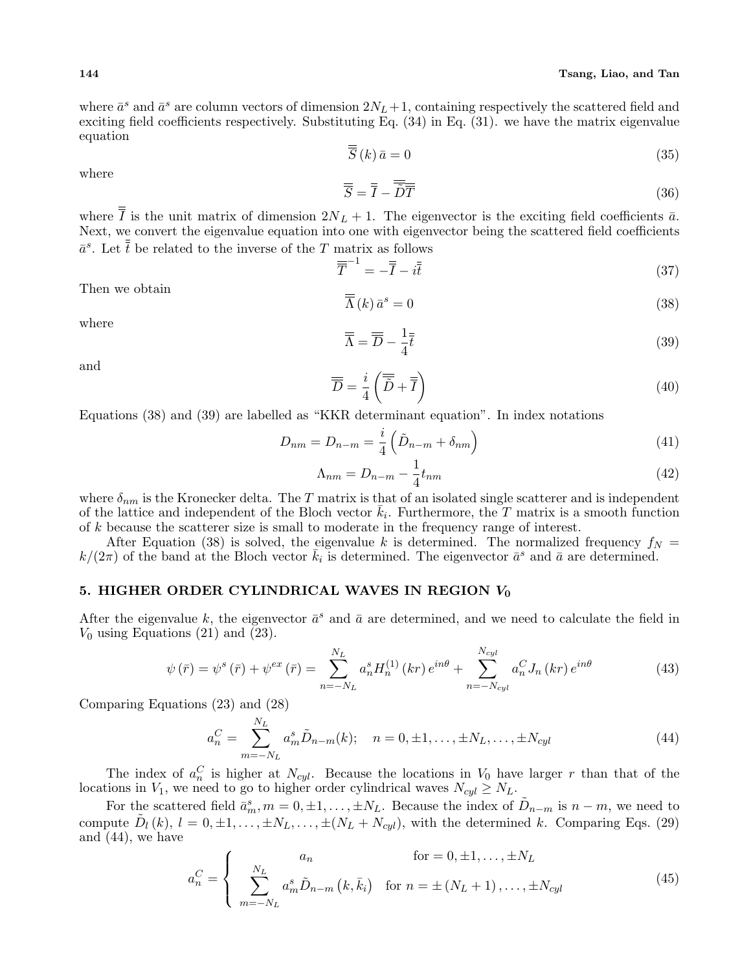where  $\bar{a}^s$  and  $\bar{a}^s$  are column vectors of dimension  $2N_L+1$ , containing respectively the scattered field and exciting field coefficients respectively. Substituting Eq. (34) in Eq. (31). we have the matrix eigenvalue equation

$$
\overline{\overline{S}}(k)\,\overline{a}=0\tag{35}
$$

where

$$
\overline{\overline{S}} = \overline{\overline{I}} - \overline{\overline{\widetilde{D}}}\overline{\overline{T}}
$$
 (36)

where *I* is the unit matrix of dimension  $2N_L + 1$ . The eigenvector is the exciting field coefficients  $\bar{a}$ . Next, we convert the eigenvalue equation into one with eigenvector being the scattered field coefficients  $\bar{a}^s$ . Let  $\bar{t}$  be related to the inverse of the *T* matrix as follows

$$
\overline{\overline{T}}^{-1} = -\overline{\overline{I}} - i\overline{\overline{t}} \tag{37}
$$

Then we obtain

$$
\overline{\overline{\Lambda}}(k)\,\bar{a}^s = 0\tag{38}
$$

where

$$
\overline{\overline{\Lambda}} = \overline{\overline{D}} - \frac{1}{4}\overline{\overline{t}} \tag{39}
$$

and

$$
\overline{\overline{D}} = \frac{i}{4} \left( \overline{\overline{\widetilde{D}}} + \overline{\overline{I}} \right)
$$
(40)

Equations (38) and (39) are labelled as "KKR determinant equation". In index notations

$$
D_{nm} = D_{n-m} = \frac{i}{4} \left( \tilde{D}_{n-m} + \delta_{nm} \right) \tag{41}
$$

$$
\Lambda_{nm} = D_{n-m} - \frac{1}{4} t_{nm} \tag{42}
$$

where  $\delta_{nm}$  is the Kronecker delta. The *T* matrix is that of an isolated single scatterer and is independent of the lattice and independent of the Bloch vector  $\bar{k}_i$ . Furthermore, the *T* matrix is a smooth function of *k* because the scatterer size is small to moderate in the frequency range of interest.

After Equation (38) is solved, the eigenvalue *k* is determined. The normalized frequency  $f_N =$  $k/(2\pi)$  of the band at the Bloch vector  $\bar{k}_i$  is determined. The eigenvector  $\bar{a}^s$  and  $\bar{a}$  are determined.

# **5. HIGHER ORDER CYLINDRICAL WAVES IN REGION** *V***<sup>0</sup>**

After the eigenvalue k, the eigenvector  $\bar{a}^s$  and  $\bar{a}$  are determined, and we need to calculate the field in  $V_0$  using Equations (21) and (23).

$$
\psi\left(\bar{r}\right) = \psi^s\left(\bar{r}\right) + \psi^{ex}\left(\bar{r}\right) = \sum_{n=-N_L}^{N_L} a_n^s H_n^{(1)}\left(kr\right) e^{in\theta} + \sum_{n=-N_{cyl}}^{N_{cyl}} a_n^C J_n\left(kr\right) e^{in\theta} \tag{43}
$$

Comparing Equations (23) and (28)

$$
a_n^C = \sum_{m=-N_L}^{N_L} a_m^s \tilde{D}_{n-m}(k); \quad n = 0, \pm 1, \dots, \pm N_L, \dots, \pm N_{cyl}
$$
 (44)

The index of  $a_n^C$  is higher at  $N_{cyl}$ . Because the locations in  $V_0$  have larger *r* than that of the locations in *V*<sub>1</sub>, we need to go to higher order cylindrical waves  $N_{cyl} \geq N_L$ .

For the scattered field  $\bar{a}_m^s, m = 0, \pm 1, \ldots, \pm N_L$ . Because the index of  $\tilde{D}_{n-m}$  is  $n-m$ , we need to compute  $\tilde{D}_l(k)$ ,  $l = 0, \pm 1, \ldots, \pm N_L, \ldots, \pm (N_L + N_{cyl})$ , with the determined k. Comparing Eqs. (29) and (44), we have

$$
a_n^C = \begin{cases} a_n & \text{for } = 0, \pm 1, \dots, \pm N_L \\ \sum_{m = -N_L}^{N_L} a_m^s \tilde{D}_{n-m} (k, \bar{k}_i) & \text{for } n = \pm (N_L + 1), \dots, \pm N_{cyl} \end{cases}
$$
(45)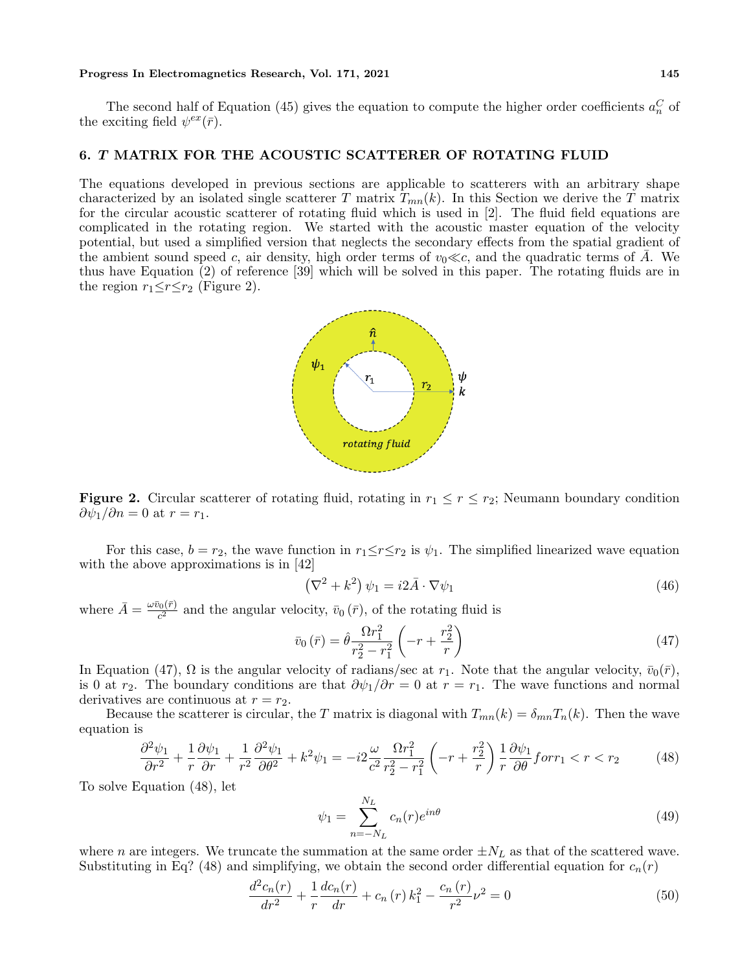The second half of Equation (45) gives the equation to compute the higher order coefficients  $a_n^C$  of the exciting field  $\psi^{ex}(\bar{r})$ .

## **6.** *T* **MATRIX FOR THE ACOUSTIC SCATTERER OF ROTATING FLUID**

The equations developed in previous sections are applicable to scatterers with an arbitrary shape characterized by an isolated single scatterer *T* matrix  $T_{mn}(k)$ . In this Section we derive the *T* matrix for the circular acoustic scatterer of rotating fluid which is used in [2]. The fluid field equations are complicated in the rotating region. We started with the acoustic master equation of the velocity potential, but used a simplified version that neglects the secondary effects from the spatial gradient of the ambient sound speed *c*, air density, high order terms of  $v_0 \ll c$ , and the quadratic terms of *A*. We thus have Equation (2) of reference [39] which will be solved in this paper. The rotating fluids are in the region  $r_1 \leq r \leq r_2$  (Figure 2).



**Figure 2.** Circular scatterer of rotating fluid, rotating in  $r_1 \leq r \leq r_2$ ; Neumann boundary condition  $\partial \psi_1 / \partial n = 0$  at  $r = r_1$ .

For this case,  $b = r_2$ , the wave function in  $r_1 \leq r \leq r_2$  is  $\psi_1$ . The simplified linearized wave equation with the above approximations is in [42]

$$
\left(\nabla^2 + k^2\right)\psi_1 = i2\bar{A}\cdot\nabla\psi_1\tag{46}
$$

where  $\bar{A} = \frac{\omega \bar{v}_0(\bar{r})}{c^2}$  $\frac{\partial v(r)}{\partial x^2}$  and the angular velocity,  $\bar{v}_0(\bar{r})$ , of the rotating fluid is

$$
\bar{v}_0\left(\bar{r}\right) = \hat{\theta} \frac{\Omega r_1^2}{r_2^2 - r_1^2} \left(-r + \frac{r_2^2}{r}\right) \tag{47}
$$

In Equation (47),  $\Omega$  is the angular velocity of radians/sec at  $r_1$ . Note that the angular velocity,  $\bar{v}_0(\bar{r})$ , is 0 at  $r_2$ . The boundary conditions are that  $\frac{\partial \psi_1}{\partial r} = 0$  at  $r = r_1$ . The wave functions and normal derivatives are continuous at  $r = r_2$ .

Because the scatterer is circular, the *T* matrix is diagonal with  $T_{mn}(k) = \delta_{mn} T_n(k)$ . Then the wave equation is

$$
\frac{\partial^2 \psi_1}{\partial r^2} + \frac{1}{r} \frac{\partial \psi_1}{\partial r} + \frac{1}{r^2} \frac{\partial^2 \psi_1}{\partial \theta^2} + k^2 \psi_1 = -i2 \frac{\omega}{c^2} \frac{\Omega r_1^2}{r_2^2 - r_1^2} \left( -r + \frac{r_2^2}{r} \right) \frac{1}{r} \frac{\partial \psi_1}{\partial \theta} \text{for} r_1 < r < r_2 \tag{48}
$$

To solve Equation (48), let

$$
\psi_1 = \sum_{n=-N_L}^{N_L} c_n(r)e^{in\theta} \tag{49}
$$

where *n* are integers. We truncate the summation at the same order  $\pm N_L$  as that of the scattered wave. Substituting in Eq? (48) and simplifying, we obtain the second order differential equation for  $c_n(r)$ 

$$
\frac{d^2c_n(r)}{dr^2} + \frac{1}{r}\frac{dc_n(r)}{dr} + c_n(r)k_1^2 - \frac{c_n(r)}{r^2}\nu^2 = 0
$$
\n(50)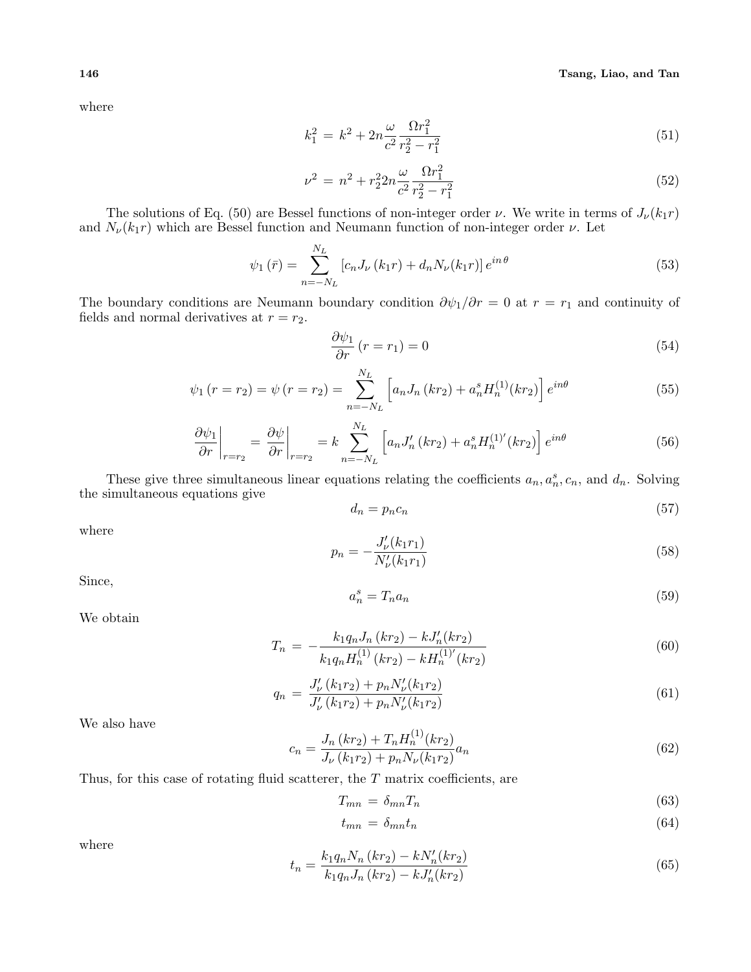where

$$
k_1^2 = k^2 + 2n\frac{\omega}{c^2} \frac{\Omega r_1^2}{r_2^2 - r_1^2}
$$
\n(51)

$$
\nu^2 = n^2 + r_2^2 2n \frac{\omega}{c^2} \frac{\Omega r_1^2}{r_2^2 - r_1^2}
$$
\n(52)

The solutions of Eq. (50) are Bessel functions of non-integer order *ν*. We write in terms of  $J_{\nu}(k_1r)$ and  $N_{\nu}(k_1r)$  which are Bessel function and Neumann function of non-integer order  $\nu$ . Let

$$
\psi_1(\bar{r}) = \sum_{n=-N_L}^{N_L} [c_n J_\nu(k_1 r) + d_n N_\nu(k_1 r)] e^{in\theta}
$$
\n(53)

The boundary conditions are Neumann boundary condition  $\partial \psi_1 / \partial r = 0$  at  $r = r_1$  and continuity of fields and normal derivatives at  $r = r_2$ .

$$
\frac{\partial \psi_1}{\partial r} \left( r = r_1 \right) = 0 \tag{54}
$$

$$
\psi_1(r = r_2) = \psi(r = r_2) = \sum_{n = -N_L}^{N_L} \left[ a_n J_n(kr_2) + a_n^s H_n^{(1)}(kr_2) \right] e^{in\theta}
$$
\n(55)

$$
\left. \frac{\partial \psi_1}{\partial r} \right|_{r=r_2} = \left. \frac{\partial \psi}{\partial r} \right|_{r=r_2} = k \sum_{n=-N_L}^{N_L} \left[ a_n J'_n \left( kr_2 \right) + a_n^s H_n^{(1)'}(kr_2) \right] e^{in\theta} \tag{56}
$$

These give three simultaneous linear equations relating the coefficients  $a_n, a_n^s, c_n$ , and  $d_n$ . Solving the simultaneous equations give

$$
d_n = p_n c_n \tag{57}
$$

where

$$
p_n = -\frac{J'_{\nu}(k_1 r_1)}{N'_{\nu}(k_1 r_1)}\tag{58}
$$

Since,

$$
a_n^s = T_n a_n \tag{59}
$$

We obtain

$$
T_n = -\frac{k_1 q_n J_n (kr_2) - k J'_n (kr_2)}{k_1 q_n H_n^{(1)} (kr_2) - k H_n^{(1)'} (kr_2)}\tag{60}
$$

$$
q_n = \frac{J'_{\nu}(k_1 r_2) + p_n N'_{\nu}(k_1 r_2)}{J'_{\nu}(k_1 r_2) + p_n N'_{\nu}(k_1 r_2)}\tag{61}
$$

We also have

$$
c_n = \frac{J_n (kr_2) + T_n H_n^{(1)}(kr_2)}{J_\nu (k_1 r_2) + p_n N_\nu (k_1 r_2)} a_n
$$
\n
$$
(62)
$$

Thus, for this case of rotating fluid scatterer, the *T* matrix coefficients, are

$$
T_{mn} = \delta_{mn} T_n \tag{63}
$$

$$
t_{mn} = \delta_{mn} t_n \tag{64}
$$

where

$$
t_n = \frac{k_1 q_n N_n (kr_2) - k N'_n (kr_2)}{k_1 q_n J_n (kr_2) - k J'_n (kr_2)}\tag{65}
$$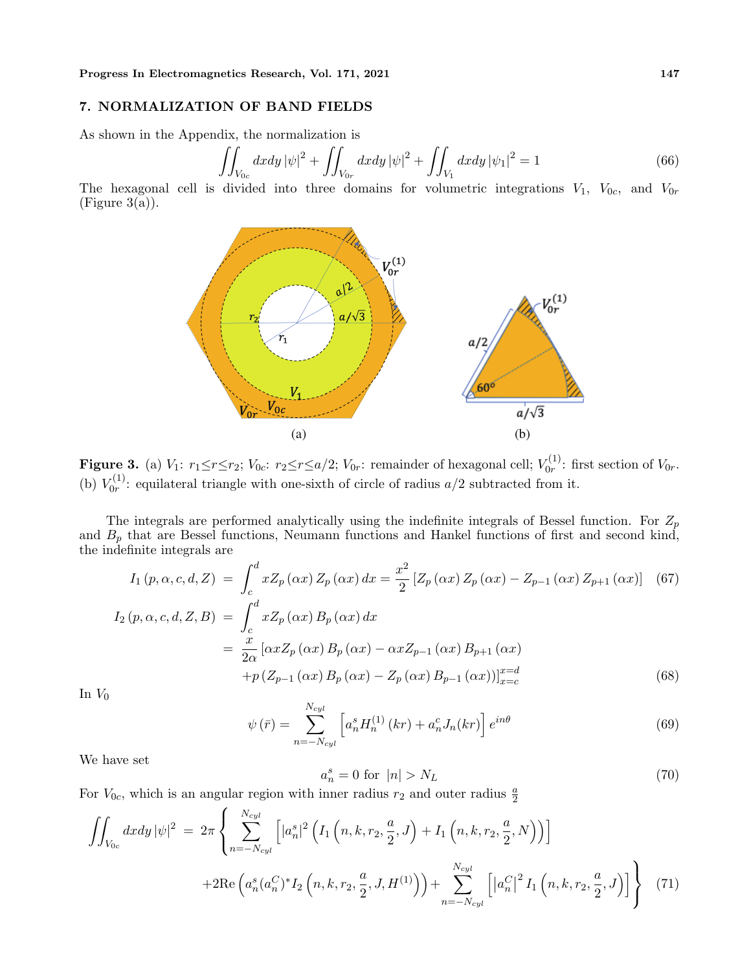#### **7. NORMALIZATION OF BAND FIELDS**

As shown in the Appendix, the normalization is

$$
\iint_{V_{0c}} dxdy |\psi|^2 + \iint_{V_{0r}} dxdy |\psi|^2 + \iint_{V_1} dxdy |\psi_1|^2 = 1
$$
\n(66)

The hexagonal cell is divided into three domains for volumetric integrations  $V_1$ ,  $V_{0c}$ , and  $V_{0r}$  $(Figure 3(a)).$ 



**Figure 3.** (a)  $V_1: r_1 \leq r \leq r_2$ ;  $V_{0c}: r_2 \leq r \leq a/2$ ;  $V_{0r}:$  remainder of hexagonal cell;  $V_{0r}^{(1)}$  $\int_{0}^{\tau(1)}$ : first section of  $V_{0r}$ . (b)  $V_{0r}^{(1)}$  $\sigma_{0r}^{(1)}$ : equilateral triangle with one-sixth of circle of radius  $a/2$  subtracted from it.

The integrals are performed analytically using the indefinite integrals of Bessel function. For *Z<sup>p</sup>* and  $B_p$  that are Bessel functions, Neumann functions and Hankel functions of first and second kind, the indefinite integrals are

$$
I_{1}(p, \alpha, c, d, Z) = \int_{c}^{d} x Z_{p}(\alpha x) Z_{p}(\alpha x) dx = \frac{x^{2}}{2} [Z_{p}(\alpha x) Z_{p}(\alpha x) - Z_{p-1}(\alpha x) Z_{p+1}(\alpha x)] \quad (67)
$$
  
\n
$$
I_{2}(p, \alpha, c, d, Z, B) = \int_{c}^{d} x Z_{p}(\alpha x) B_{p}(\alpha x) dx
$$
  
\n
$$
= \frac{x}{2\alpha} [\alpha x Z_{p}(\alpha x) B_{p}(\alpha x) - \alpha x Z_{p-1}(\alpha x) B_{p+1}(\alpha x) + p (Z_{p-1}(\alpha x) B_{p}(\alpha x) - Z_{p}(\alpha x) B_{p-1}(\alpha x))]_{x=c}^{x=d} \quad (68)
$$

In  $V_0$ 

$$
\psi\left(\bar{r}\right) = \sum_{n=-N_{cyl}}^{N_{cyl}} \left[ a_n^s H_n^{(1)}\left(kr\right) + a_n^c J_n(kr) \right] e^{in\theta} \tag{69}
$$

We have set

$$
a_n^s = 0 \text{ for } |n| > N_L \tag{70}
$$

For  $V_{0c}$ , which is an angular region with inner radius  $r_2$  and outer radius  $\frac{a}{2}$ 

$$
\iint_{V_{0c}} dxdy |\psi|^2 = 2\pi \left\{ \sum_{n=-N_{cyl}}^{N_{cyl}} \left[ |a_n^s|^2 \left( I_1\left(n, k, r_2, \frac{a}{2}, J\right) + I_1\left(n, k, r_2, \frac{a}{2}, N\right) \right) \right] \right\}
$$
  
+2Re  $\left( a_n^s (a_n^C)^* I_2\left(n, k, r_2, \frac{a}{2}, J, H^{(1)}\right) \right) + \sum_{n=-N_{cyl}}^{N_{cyl}} \left[ |a_n^C|^2 I_1\left(n, k, r_2, \frac{a}{2}, J \right) \right] \right\}$  (71)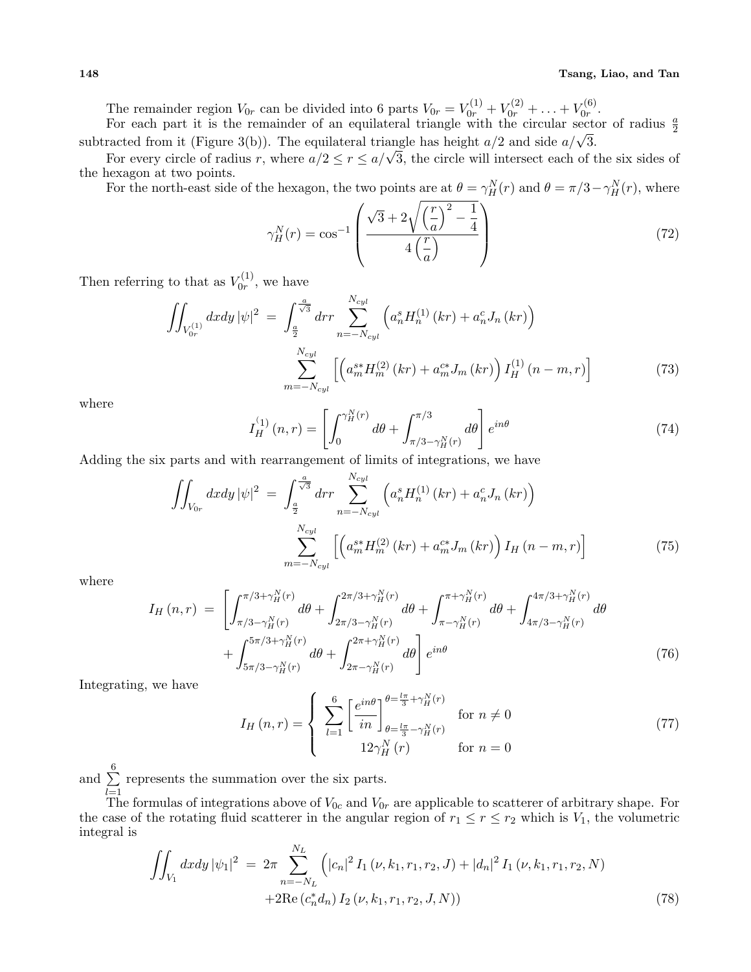The remainder region  $V_{0r}$  can be divided into 6 parts  $V_{0r} = V_{0r}^{(1)} + V_{0r}^{(2)} + \ldots + V_{0r}^{(6)}$  $\frac{r(\mathbf{0})}{0r}$ .

For each part it is the remainder of an equilateral triangle with the circular sector of radius  $\frac{a}{2}$ subtracted from it (Figure 3(b)). The equilateral triangle has height  $a/2$  and side  $a/\sqrt{3}$ .

For every circle of radius *r*, where  $a/2 \le r \le a/\sqrt{3}$ , the circle will intersect each of the six sides of the hexagon at two points.

For the north-east side of the hexagon, the two points are at  $\theta = \gamma_H^N(r)$  and  $\theta = \pi/3 - \gamma_H^N(r)$ , where

$$
\gamma_H^N(r) = \cos^{-1}\left(\frac{\sqrt{3} + 2\sqrt{\left(\frac{r}{a}\right)^2 - \frac{1}{4}}}{4\left(\frac{r}{a}\right)}\right) \tag{72}
$$

Then referring to that as  $V_{0r}^{(1)}$  $v_0^{(1)}$ , we have

$$
\iint_{V_{0r}^{(1)}} dxdy \, |\psi|^2 = \int_{\frac{a}{2}}^{\frac{a}{\sqrt{3}}} dr \sum_{n=-N_{cyl}}^{N_{cyl}} \left( a_n^s H_n^{(1)} \left( kr \right) + a_n^c J_n \left( kr \right) \right)
$$
\n
$$
\sum_{m=-N_{cyl}}^{N_{cyl}} \left[ \left( a_m^{s*} H_m^{(2)} \left( kr \right) + a_m^{c*} J_m \left( kr \right) \right) I_H^{(1)} \left( n - m, r \right) \right]
$$
\n(73)

where

$$
I_H^{(1)}(n,r) = \left[ \int_0^{\gamma_H^N(r)} d\theta + \int_{\pi/3 - \gamma_H^N(r)}^{\pi/3} d\theta \right] e^{in\theta}
$$
 (74)

Adding the six parts and with rearrangement of limits of integrations, we have

$$
\iint_{V_{0r}} dxdy |\psi|^2 = \int_{\frac{a}{2}}^{\frac{a}{\sqrt{3}}} dr r \sum_{n=-N_{cyl}}^{N_{cyl}} \left( a_n^s H_n^{(1)}(kr) + a_n^c J_n(kr) \right)
$$

$$
\sum_{m=-N_{cyl}}^{N_{cyl}} \left[ \left( a_m^{s*} H_m^{(2)}(kr) + a_m^{c*} J_m(kr) \right) I_H(n-m,r) \right]
$$
(75)

where

$$
I_H(n,r) = \left[ \int_{\pi/3 - \gamma_H^N(r)}^{\pi/3 + \gamma_H^N(r)} d\theta + \int_{2\pi/3 - \gamma_H^N(r)}^{2\pi/3 + \gamma_H^N(r)} d\theta + \int_{\pi - \gamma_H^N(r)}^{\pi + \gamma_H^N(r)} d\theta + \int_{4\pi/3 - \gamma_H^N(r)}^{4\pi/3 + \gamma_H^N(r)} d\theta + \int_{5\pi/3 - \gamma_H^N(r)}^{5\pi/3 + \gamma_H^N(r)} d\theta + \int_{2\pi - \gamma_H^N(r)}^{2\pi + \gamma_H^N(r)} d\theta \right] e^{in\theta}
$$
\n(76)

Integrating, we have

$$
I_H(n,r) = \begin{cases} \sum_{l=1}^{6} \left[ \frac{e^{in\theta}}{in} \right]_{\theta = \frac{l\pi}{3} - \gamma_H^N(r)}^{\theta = \frac{l\pi}{3} - \gamma_H^N(r)} & \text{for } n \neq 0\\ 12\gamma_H^N(r) & \text{for } n = 0 \end{cases}
$$
(77)

and ∑ 6 *l*=1 represents the summation over the six parts.

The formulas of integrations above of  $V_{0c}$  and  $V_{0r}$  are applicable to scatterer of arbitrary shape. For the case of the rotating fluid scatterer in the angular region of  $r_1 \leq r \leq r_2$  which is  $V_1$ , the volumetric integral is

$$
\iint_{V_1} dx dy |\psi_1|^2 = 2\pi \sum_{n=-N_L}^{N_L} \left( |c_n|^2 I_1(\nu, k_1, r_1, r_2, J) + |d_n|^2 I_1(\nu, k_1, r_1, r_2, N) + 2\Re\left(c_n^* d_n\right) I_2(\nu, k_1, r_1, r_2, J, N)\right)
$$
\n(78)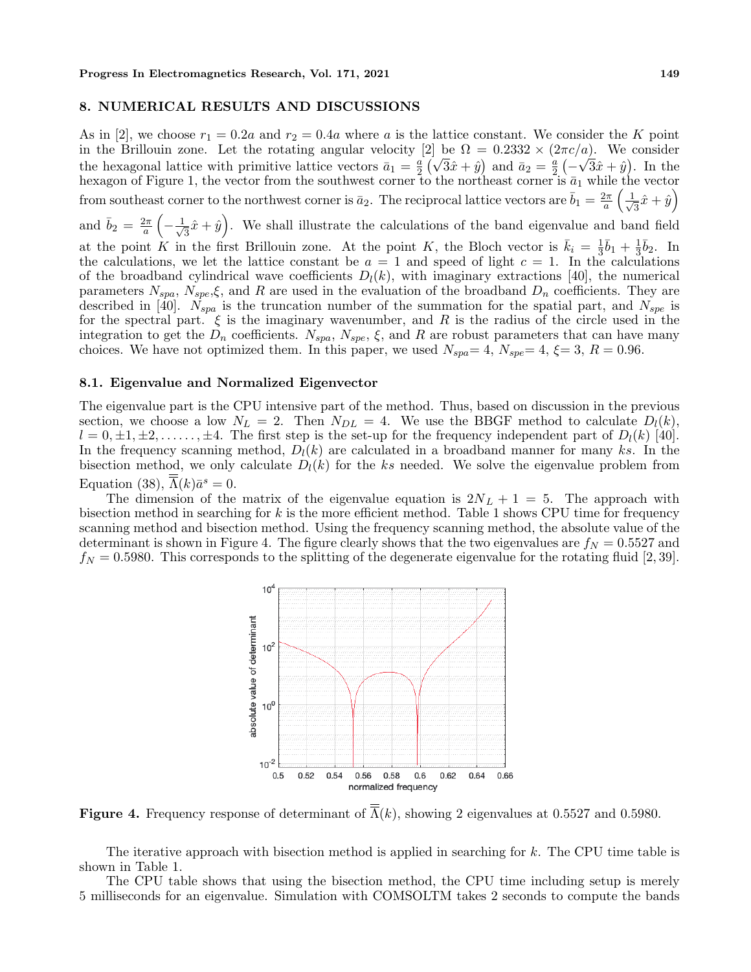#### **8. NUMERICAL RESULTS AND DISCUSSIONS**

As in [2], we choose  $r_1 = 0.2a$  and  $r_2 = 0.4a$  where *a* is the lattice constant. We consider the *K* point in the Brillouin zone. Let the rotating angular velocity [2] be  $\Omega = 0.2332 \times (2\pi c/a)$ . We consider the hexagonal lattice with primitive lattice vectors  $\bar{a}_1 = \frac{a}{2}$  $\frac{a}{2}(\sqrt{3}\hat{x} + \hat{y})$  and  $\bar{a}_2 = \frac{a}{2}$ 2 ( *−*  $\sqrt{3}\hat{x} + \hat{y}$ . In the hexagon of Figure 1, the vector from the southwest corner to the northeast corner is  $\bar{a}_1$  while the vector from southeast corner to the northwest corner is  $\bar{a}_2$ . The reciprocal lattice vectors are  $\bar{b}_1 = \frac{2\pi}{a}$  $\frac{2\pi}{a}$   $\left(\frac{1}{\sqrt{2}}\right)$  $\frac{1}{3}\hat{x}+\hat{y}$ and  $\bar{b}_2 = \frac{2\pi}{a}$ *a* ( *− √* 1  $\frac{1}{3}\hat{x} + \hat{y}$ . We shall illustrate the calculations of the band eigenvalue and band field at the point *K* in the first Brillouin zone. At the point *K*, the Bloch vector is  $\bar{k}_i = \frac{1}{3}$  $\frac{1}{3}\bar{b}_1 + \frac{1}{3}$  $\frac{1}{3}\overline{b}_2$ . In the calculations, we let the lattice constant be  $a = 1$  and speed of light  $c = 1$ . In the calculations of the broadband cylindrical wave coefficients  $D_l(k)$ , with imaginary extractions [40], the numerical parameters  $N_{spa}$ ,  $N_{spe}$ , $\xi$ , and *R* are used in the evaluation of the broadband  $D_n$  coefficients. They are described in [40]. *Nspa* is the truncation number of the summation for the spatial part, and *Nspe* is for the spectral part.  $\xi$  is the imaginary wavenumber, and R is the radius of the circle used in the integration to get the  $D_n$  coefficients.  $N_{spa}$ ,  $N_{spe}$ ,  $\xi$ , and  $R$  are robust parameters that can have many

#### **8.1. Eigenvalue and Normalized Eigenvector**

The eigenvalue part is the CPU intensive part of the method. Thus, based on discussion in the previous section, we choose a low  $N_L = 2$ . Then  $N_{DL} = 4$ . We use the BBGF method to calculate  $D_l(k)$ ,  $l = 0, \pm 1, \pm 2, \ldots, \pm 4$ . The first step is the set-up for the frequency independent part of  $D_l(k)$  [40]. In the frequency scanning method, *Dl*(*k*) are calculated in a broadband manner for many *ks*. In the bisection method, we only calculate  $D_l(k)$  for the *ks* needed. We solve the eigenvalue problem from Equation (38),  $\overline{\Lambda}(k)\overline{a}^s = 0$ .

choices. We have not optimized them. In this paper, we used  $N_{spa} = 4$ ,  $N_{spe} = 4$ ,  $\xi = 3$ ,  $R = 0.96$ .

The dimension of the matrix of the eigenvalue equation is  $2N_L + 1 = 5$ . The approach with bisection method in searching for *k* is the more efficient method. Table 1 shows CPU time for frequency scanning method and bisection method. Using the frequency scanning method, the absolute value of the determinant is shown in Figure 4. The figure clearly shows that the two eigenvalues are  $f<sub>N</sub> = 0.5527$  and  $f_N = 0.5980$ . This corresponds to the splitting of the degenerate eigenvalue for the rotating fluid [2, 39].



**Figure 4.** Frequency response of determinant of  $\overline{A}(k)$ , showing 2 eigenvalues at 0.5527 and 0.5980.

The iterative approach with bisection method is applied in searching for *k*. The CPU time table is shown in Table 1.

The CPU table shows that using the bisection method, the CPU time including setup is merely 5 milliseconds for an eigenvalue. Simulation with COMSOLTM takes 2 seconds to compute the bands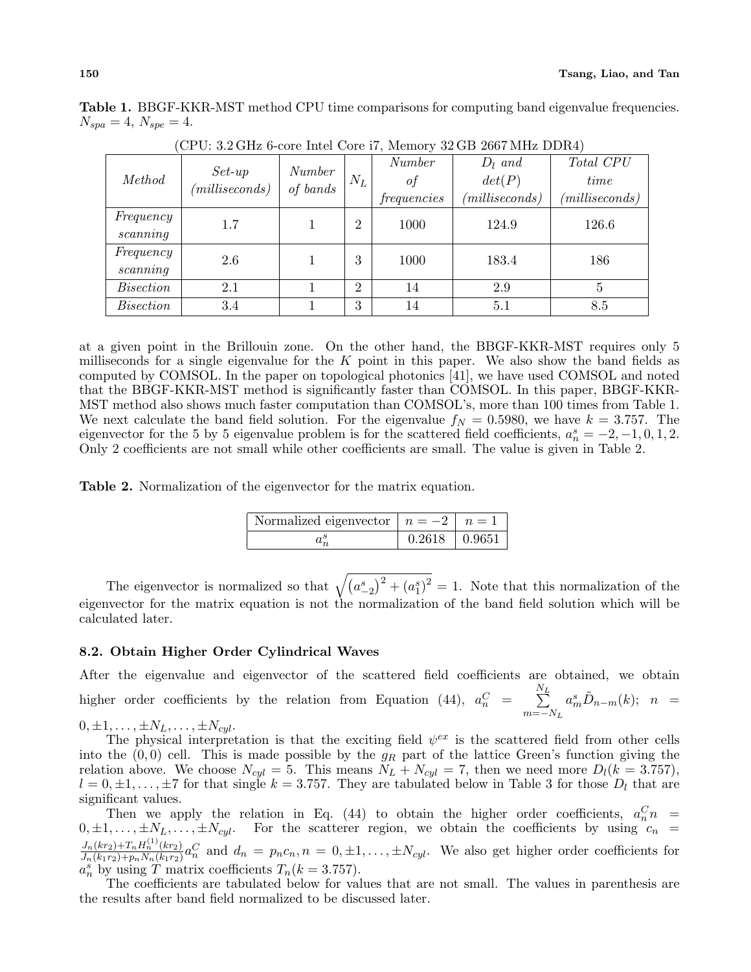| Method           |                             | Number<br>of bands | $N_L$          | Number      | $D_l$ and       | Total CPU       |  |
|------------------|-----------------------------|--------------------|----------------|-------------|-----------------|-----------------|--|
|                  | $Set-up$<br>(millise conds) |                    |                | οt          | det(P)          | time            |  |
|                  |                             |                    |                | frequencies | (millise conds) | (millise conds) |  |
| Frequency        | $1.7\,$                     |                    | $\overline{2}$ | 1000        | 124.9           | 126.6           |  |
| scanning         |                             |                    |                |             |                 |                 |  |
| Frequency        | 2.6                         |                    | 3              | 1000        | 183.4           | 186             |  |
| scanning         |                             |                    |                |             |                 |                 |  |
| <i>Bisection</i> | 2.1                         |                    | $\overline{2}$ | 14          | 2.9             | 5               |  |
| <i>Bisection</i> | 3.4                         |                    | 3              | 14          | 5.1             | 8.5             |  |

**Table 1.** BBGF-KKR-MST method CPU time comparisons for computing band eigenvalue frequencies.  $N_{spa} = 4, N_{spe} = 4.$ 

 $(CPII: 3.2 GHz$  6-core Intel Core i7, Memory 32 GB 2667 MHz DDR4)

at a given point in the Brillouin zone. On the other hand, the BBGF-KKR-MST requires only 5 milliseconds for a single eigenvalue for the *K* point in this paper. We also show the band fields as computed by COMSOL. In the paper on topological photonics [41], we have used COMSOL and noted that the BBGF-KKR-MST method is significantly faster than COMSOL. In this paper, BBGF-KKR-MST method also shows much faster computation than COMSOL's, more than 100 times from Table 1. We next calculate the band field solution. For the eigenvalue  $f<sub>N</sub> = 0.5980$ , we have  $k = 3.757$ . The eigenvector for the 5 by 5 eigenvalue problem is for the scattered field coefficients,  $a_n^s = -2, -1, 0, 1, 2$ . Only 2 coefficients are not small while other coefficients are small. The value is given in Table 2.

**Table 2.** Normalization of the eigenvector for the matrix equation.

| Normalized eigenvector $\mid n = -2 \mid n = 1$ |                 |  |
|-------------------------------------------------|-----------------|--|
|                                                 | $0.2618$ 0.9651 |  |

The eigenvector is normalized so that  $\sqrt{(a_{-2}^s)^2 + (a_1^s)^2} = 1$ . Note that this normalization of the eigenvector for the matrix equation is not the normalization of the band field solution which will be calculated later.

# **8.2. Obtain Higher Order Cylindrical Waves**

After the eigenvalue and eigenvector of the scattered field coefficients are obtained, we obtain higher order coefficients by the relation from Equation (44),  $a_n^C$  = *N* ∑*L m*=*−N<sup>L</sup>*  $a_m^s \tilde{D}_{n-m}(k);$  *n* =  $0, \pm 1, \ldots, \pm N_L, \ldots, \pm N_{cyl}.$ 

The physical interpretation is that the exciting field  $\psi^{ex}$  is the scattered field from other cells into the  $(0,0)$  cell. This is made possible by the  $g_R$  part of the lattice Green's function giving the relation above. We choose  $N_{cyl} = 5$ . This means  $N_L + N_{cyl} = 7$ , then we need more  $D_l(k = 3.757)$ ,

 $l = 0, \pm 1, \ldots, \pm 7$  for that single  $k = 3.757$ . They are tabulated below in Table 3 for those  $D_l$  that are significant values. Then we apply the relation in Eq. (44) to obtain the higher order coefficients,  $a_n^C n =$ 

 $0, \pm 1, \ldots, \pm N_L, \ldots, \pm N_{cyl}$ . For the scatterer region, we obtain the coefficients by using  $c_n$  $J_n(kr_2)+T_nH_n^{(1)}(kr_2)$  $\frac{J_n(kr_2)+T_nH_n^{\sim}(kr_2)}{J_n(k_1r_2)+p_nN_n(k_1r_2)}a_n^C$  and  $d_n = p_nc_n, n = 0, \pm 1, \ldots, \pm N_{cyl}$ . We also get higher order coefficients for  $a_n^s$  by using *T* matrix coefficients  $T_n(k = 3.757)$ .

The coefficients are tabulated below for values that are not small. The values in parenthesis are the results after band field normalized to be discussed later.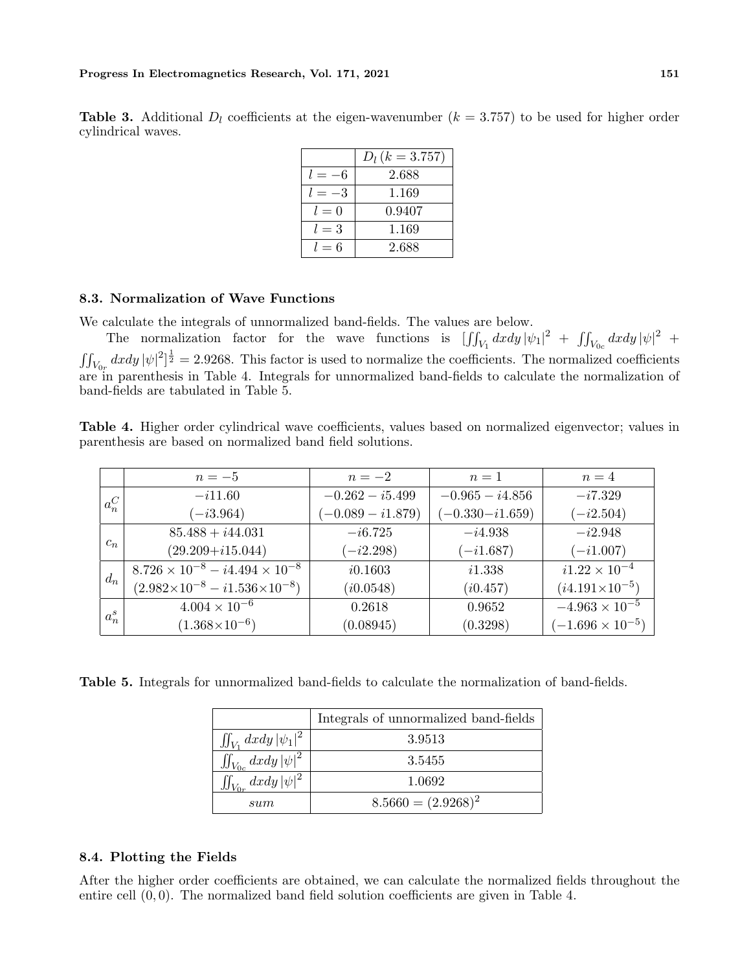|                    | <b>Table 3.</b> Additional $D_l$ coefficients at the eigen-wavenumber $(k = 3.757)$ to be used for higher order |  |  |  |  |  |
|--------------------|-----------------------------------------------------------------------------------------------------------------|--|--|--|--|--|
| cylindrical waves. |                                                                                                                 |  |  |  |  |  |

|          | $D_l (k = 3.757)$ |
|----------|-------------------|
|          | 2.688             |
| $l = -3$ | 1.169             |
| $l=0$    | 0.9407            |
| $l=3$    | 1.169             |
| $l=6$    | 2.688             |

# **8.3. Normalization of Wave Functions**

We calculate the integrals of unnormalized band-fields. The values are below.

The normalization factor for the wave functions is  $\left[\iint_{V_1} dx dy |\psi_1|^2 + \iint_{V_{0c}} dx dy |\psi|^2 + \right]$  $\iint_{V_{0r}} dxdy |\psi|^2]^{\frac{1}{2}} = 2.9268$ . This factor is used to normalize the coefficients. The normalized coefficients are in parenthesis in Table 4. Integrals for unnormalized band-fields to calculate the normalization of band-fields are tabulated in Table 5.

**Table 4.** Higher order cylindrical wave coefficients, values based on normalized eigenvector; values in parenthesis are based on normalized band field solutions.

|         | $n=-5$                                                    | $n=-2$              | $n=1$               | $n=4$                     |  |  |
|---------|-----------------------------------------------------------|---------------------|---------------------|---------------------------|--|--|
| $a_n^C$ | $-i11.60$                                                 | $-0.262 - i5.499$   | $-0.965 - i4.856$   | $-i7.329$                 |  |  |
|         | $(-i3.964)$                                               | $(-0.089 - i1.879)$ | $(-0.330 - i1.659)$ | $(-i2.504)$               |  |  |
| $c_n$   | $85.488 + i44.031$                                        | $-i6.725$           | $-i4.938$           | $-i2.948$                 |  |  |
|         | $(29.209 + i15.044)$                                      | $(-i2.298)$         | $(-i1.687)$         | $(-i1.007)$               |  |  |
| $d_n$   | $\overline{8.726 \times 10^{-8} - i4.494 \times 10^{-8}}$ | i0.1603             | i1.338              | $i1.22 \times 10^{-4}$    |  |  |
|         | $(2.982\times10^{-8} - i1.536\times10^{-8})$              | (i0.0548)           | (i0.457)            | $(i4.191\times10^{-5})$   |  |  |
| $a_n^s$ | $4.004 \times 10^{-6}$                                    | 0.2618              | 0.9652              | $-4.963 \times 10^{-5}$   |  |  |
|         | $(1.368\times10^{-6})$                                    | (0.08945)           | (0.3298)            | $(-1.696 \times 10^{-5})$ |  |  |

**Table 5.** Integrals for unnormalized band-fields to calculate the normalization of band-fields.

|                                 | Integrals of unnormalized band-fields |
|---------------------------------|---------------------------------------|
| $\iint_{V_1} dx dy  \psi_1 ^2$  | 3.9513                                |
| $\iint_{V_{0c}}dx dy\, \psi ^2$ | 3.5455                                |
| $\iint_{V_{0r}} dx dy  \psi ^2$ | 1.0692                                |
| sum                             | $8.5660 = (2.9268)^2$                 |

# **8.4. Plotting the Fields**

After the higher order coefficients are obtained, we can calculate the normalized fields throughout the entire cell (0*,* 0). The normalized band field solution coefficients are given in Table 4.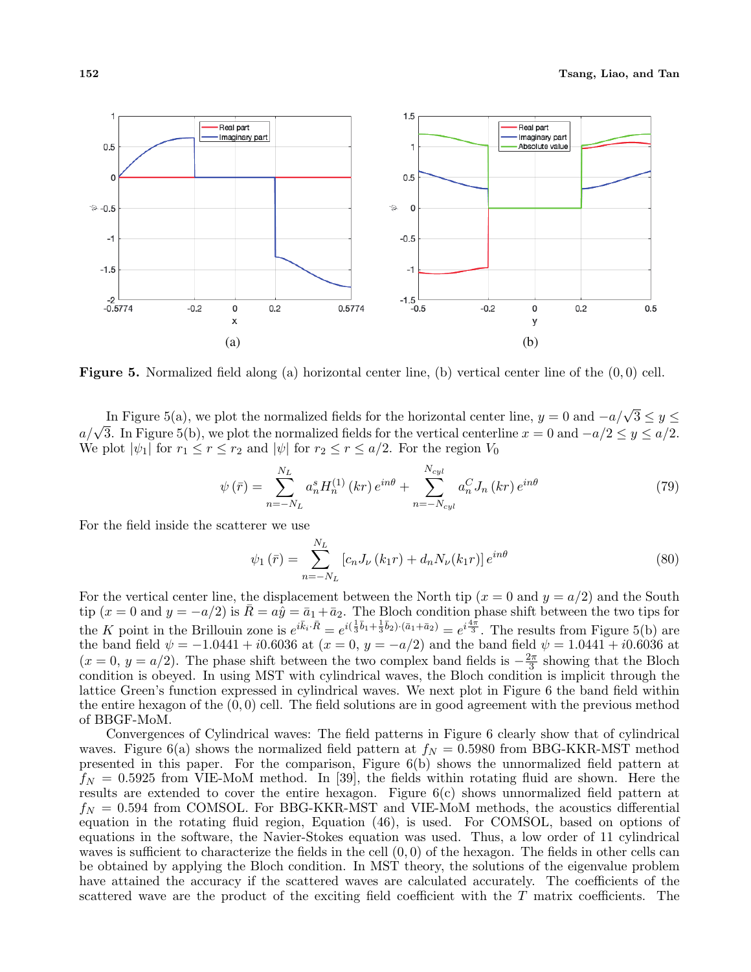

**Figure 5.** Normalized field along (a) horizontal center line, (b) vertical center line of the (0*,* 0) cell.

In Figure 5(a), we plot the normalized fields for the horizontal center line,  $y = 0$  and  $-a/\sqrt{3} \le y \le$  $a/\sqrt{3}$ . In Figure 5(b), we plot the normalized fields for the vertical centerline  $x = 0$  and  $-a/2 \le y \le a/2$ . We plot  $|\psi_1|$  for  $r_1 \leq r \leq r_2$  and  $|\psi|$  for  $r_2 \leq r \leq a/2$ . For the region  $V_0$ 

$$
\psi(\bar{r}) = \sum_{n=-N_L}^{N_L} a_n^s H_n^{(1)}(kr) e^{in\theta} + \sum_{n=-N_{cyl}}^{N_{cyl}} a_n^C J_n(kr) e^{in\theta}
$$
\n(79)

For the field inside the scatterer we use

$$
\psi_1(\bar{r}) = \sum_{n=-N_L}^{N_L} [c_n J_\nu(k_1 r) + d_n N_\nu(k_1 r)] e^{in\theta}
$$
\n(80)

For the vertical center line, the displacement between the North tip  $(x = 0 \text{ and } y = a/2)$  and the South tip  $(x = 0 \text{ and } y = -a/2)$  is  $\bar{R} = a\hat{y} = \bar{a}_1 + \bar{a}_2$ . The Bloch condition phase shift between the two tips for the K point in the Brillouin zone is  $e^{i\bar{k}_i \cdot \bar{R}} = e^{i(\frac{1}{3}\bar{b}_1 + \frac{1}{3}\bar{b}_2) \cdot (\bar{a}_1 + \bar{a}_2)} = e^{i\frac{4\pi}{3}}$ . The results from Figure 5(b) are the band field  $\psi = -1.0441 + i0.6036$  at  $(x = 0, y = -a/2)$  and the band field  $\psi = 1.0441 + i0.6036$  at  $(x = 0, y = a/2)$ . The phase shift between the two complex band fields is  $-\frac{2\pi}{3}$  $\frac{2\pi}{3}$  showing that the Bloch condition is obeyed. In using MST with cylindrical waves, the Bloch condition is implicit through the lattice Green's function expressed in cylindrical waves. We next plot in Figure 6 the band field within the entire hexagon of the (0*,* 0) cell. The field solutions are in good agreement with the previous method of BBGF-MoM.

Convergences of Cylindrical waves: The field patterns in Figure 6 clearly show that of cylindrical waves. Figure 6(a) shows the normalized field pattern at  $f_N = 0.5980$  from BBG-KKR-MST method presented in this paper. For the comparison, Figure 6(b) shows the unnormalized field pattern at  $f_N = 0.5925$  from VIE-MoM method. In [39], the fields within rotating fluid are shown. Here the results are extended to cover the entire hexagon. Figure 6(c) shows unnormalized field pattern at *f<sup>N</sup>* = 0*.*594 from COMSOL. For BBG-KKR-MST and VIE-MoM methods, the acoustics differential equation in the rotating fluid region, Equation (46), is used. For COMSOL, based on options of equations in the software, the Navier-Stokes equation was used. Thus, a low order of 11 cylindrical waves is sufficient to characterize the fields in the cell (0*,* 0) of the hexagon. The fields in other cells can be obtained by applying the Bloch condition. In MST theory, the solutions of the eigenvalue problem have attained the accuracy if the scattered waves are calculated accurately. The coefficients of the scattered wave are the product of the exciting field coefficient with the *T* matrix coefficients. The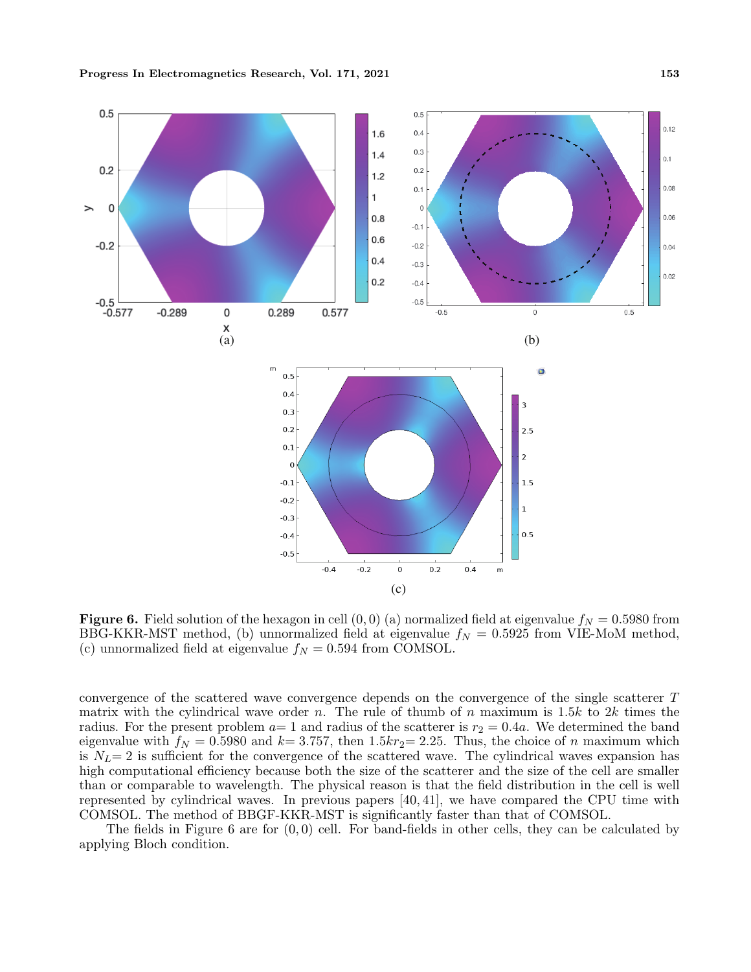

**Figure 6.** Field solution of the hexagon in cell  $(0,0)$  (a) normalized field at eigenvalue  $f_N = 0.5980$  from BBG-KKR-MST method, (b) unnormalized field at eigenvalue  $f_N = 0.5925$  from VIE-MoM method, (c) unnormalized field at eigenvalue  $f_N = 0.594$  from COMSOL.

convergence of the scattered wave convergence depends on the convergence of the single scatterer *T* matrix with the cylindrical wave order *n*. The rule of thumb of *n* maximum is 1.5*k* to 2*k* times the radius. For the present problem  $a=1$  and radius of the scatterer is  $r_2 = 0.4a$ . We determined the band eigenvalue with  $f_N = 0.5980$  and  $k = 3.757$ , then 1.5 $kr_2 = 2.25$ . Thus, the choice of *n* maximum which is  $N_L$ = 2 is sufficient for the convergence of the scattered wave. The cylindrical waves expansion has high computational efficiency because both the size of the scatterer and the size of the cell are smaller than or comparable to wavelength. The physical reason is that the field distribution in the cell is well represented by cylindrical waves. In previous papers [40, 41], we have compared the CPU time with COMSOL. The method of BBGF-KKR-MST is significantly faster than that of COMSOL.

The fields in Figure 6 are for (0*,* 0) cell. For band-fields in other cells, they can be calculated by applying Bloch condition.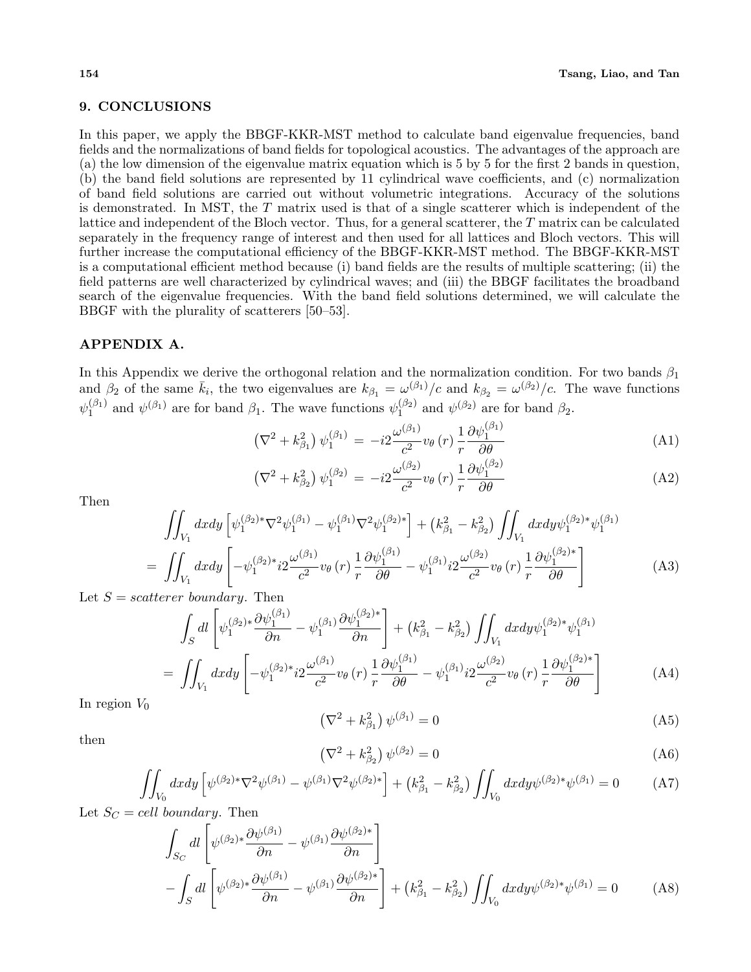## **9. CONCLUSIONS**

In this paper, we apply the BBGF-KKR-MST method to calculate band eigenvalue frequencies, band fields and the normalizations of band fields for topological acoustics. The advantages of the approach are (a) the low dimension of the eigenvalue matrix equation which is 5 by 5 for the first 2 bands in question, (b) the band field solutions are represented by 11 cylindrical wave coefficients, and (c) normalization of band field solutions are carried out without volumetric integrations. Accuracy of the solutions is demonstrated. In MST, the *T* matrix used is that of a single scatterer which is independent of the lattice and independent of the Bloch vector. Thus, for a general scatterer, the *T* matrix can be calculated separately in the frequency range of interest and then used for all lattices and Bloch vectors. This will further increase the computational efficiency of the BBGF-KKR-MST method. The BBGF-KKR-MST is a computational efficient method because (i) band fields are the results of multiple scattering; (ii) the field patterns are well characterized by cylindrical waves; and (iii) the BBGF facilitates the broadband search of the eigenvalue frequencies. With the band field solutions determined, we will calculate the BBGF with the plurality of scatterers [50–53].

# **APPENDIX A.**

In this Appendix we derive the orthogonal relation and the normalization condition. For two bands *β*<sup>1</sup> and  $\beta_2$  of the same  $\bar{k}_i$ , the two eigenvalues are  $k_{\beta_1} = \omega^{(\beta_1)}/c$  and  $k_{\beta_2} = \omega^{(\beta_2)}/c$ . The wave functions  $\psi_1^{(\beta_1)}$  $y_1^{(\beta_1)}$  and  $\psi^{(\beta_1)}$  are for band  $\beta_1$ . The wave functions  $\psi^{(\beta_2)}_1$  $j_1^{(\beta_2)}$  and  $\psi^{(\beta_2)}$  are for band  $\beta_2$ .

$$
\left(\nabla^2 + k_{\beta_1}^2\right)\psi_1^{(\beta_1)} = -i2\frac{\omega^{(\beta_1)}}{c^2}v_\theta\left(r\right)\frac{1}{r}\frac{\partial\psi_1^{(\beta_1)}}{\partial\theta}\tag{A1}
$$

$$
\left(\nabla^2 + k_{\beta_2}^2\right)\psi_1^{(\beta_2)} = -i2\frac{\omega^{(\beta_2)}}{c^2}v_\theta\left(r\right)\frac{1}{r}\frac{\partial\psi_1^{(\beta_2)}}{\partial\theta}\tag{A2}
$$

Then

$$
\iint_{V_1} dx dy \left[ \psi_1^{(\beta_2)*} \nabla^2 \psi_1^{(\beta_1)} - \psi_1^{(\beta_1)} \nabla^2 \psi_1^{(\beta_2)*} \right] + (k_{\beta_1}^2 - k_{\beta_2}^2) \iint_{V_1} dx dy \psi_1^{(\beta_2)*} \psi_1^{(\beta_1)} \n= \iint_{V_1} dx dy \left[ -\psi_1^{(\beta_2)*} i2 \frac{\omega^{(\beta_1)}}{c^2} v_{\theta}(r) \frac{1}{r} \frac{\partial \psi_1^{(\beta_1)}}{\partial \theta} - \psi_1^{(\beta_1)} i2 \frac{\omega^{(\beta_2)}}{c^2} v_{\theta}(r) \frac{1}{r} \frac{\partial \psi_1^{(\beta_2)*}}{\partial \theta} \right]
$$
\n(A3)

Let  $S = scatterer boundary$ . Then

$$
\int_{S} dl \left[ \psi_{1}^{(\beta_{2})*} \frac{\partial \psi_{1}^{(\beta_{1})}}{\partial n} - \psi_{1}^{(\beta_{1})} \frac{\partial \psi_{1}^{(\beta_{2})*}}{\partial n} \right] + (k_{\beta_{1}}^{2} - k_{\beta_{2}}^{2}) \iint_{V_{1}} dx dy \psi_{1}^{(\beta_{2})*} \psi_{1}^{(\beta_{1})} \n= \iint_{V_{1}} dx dy \left[ -\psi_{1}^{(\beta_{2})*} i2 \frac{\omega^{(\beta_{1})}}{c^{2}} v_{\theta}(r) \frac{1}{r} \frac{\partial \psi_{1}^{(\beta_{1})}}{\partial \theta} - \psi_{1}^{(\beta_{1})} i2 \frac{\omega^{(\beta_{2})}}{c^{2}} v_{\theta}(r) \frac{1}{r} \frac{\partial \psi_{1}^{(\beta_{2})*}}{\partial \theta} \right]
$$
\n(A4)

In region  $V_0$ 

$$
\left(\nabla^2 + k_{\beta_1}^2\right)\psi^{(\beta_1)} = 0\tag{A5}
$$

then

$$
\left(\nabla^2 + k_{\beta_2}^2\right)\psi^{(\beta_2)} = 0\tag{A6}
$$

$$
\iint_{V_0} dx dy \left[ \psi^{(\beta_2)*} \nabla^2 \psi^{(\beta_1)} - \psi^{(\beta_1)} \nabla^2 \psi^{(\beta_2)*} \right] + \left( k_{\beta_1}^2 - k_{\beta_2}^2 \right) \iint_{V_0} dx dy \psi^{(\beta_2)*} \psi^{(\beta_1)} = 0 \tag{A7}
$$

Let  $S_C = cell$  boundary. Then

$$
\int_{S_C} dl \left[ \psi^{(\beta_2)*} \frac{\partial \psi^{(\beta_1)}}{\partial n} - \psi^{(\beta_1)} \frac{\partial \psi^{(\beta_2)*}}{\partial n} \right] - \int_S dl \left[ \psi^{(\beta_2)*} \frac{\partial \psi^{(\beta_1)}}{\partial n} - \psi^{(\beta_1)} \frac{\partial \psi^{(\beta_2)*}}{\partial n} \right] + \left( k_{\beta_1}^2 - k_{\beta_2}^2 \right) \iint_{V_0} dx dy \psi^{(\beta_2)*} \psi^{(\beta_1)} = 0 \tag{A8}
$$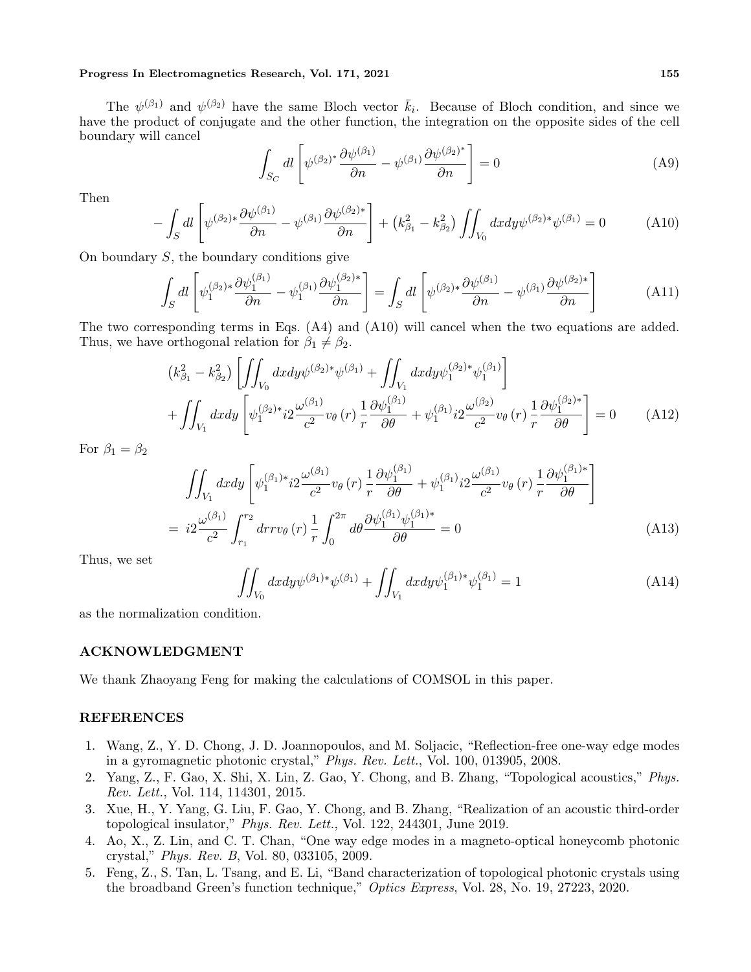The  $\psi^{(\beta_1)}$  and  $\psi^{(\beta_2)}$  have the same Bloch vector  $\bar{k}_i$ . Because of Bloch condition, and since we have the product of conjugate and the other function, the integration on the opposite sides of the cell boundary will cancel

$$
\int_{S_C} dl \left[ \psi^{(\beta_2)^*} \frac{\partial \psi^{(\beta_1)}}{\partial n} - \psi^{(\beta_1)} \frac{\partial \psi^{(\beta_2)^*}}{\partial n} \right] = 0 \tag{A9}
$$

Then

$$
-\int_{S} dl \left[ \psi^{(\beta_2)*} \frac{\partial \psi^{(\beta_1)}}{\partial n} - \psi^{(\beta_1)} \frac{\partial \psi^{(\beta_2)*}}{\partial n} \right] + \left(k_{\beta_1}^2 - k_{\beta_2}^2\right) \iint_{V_0} dx dy \psi^{(\beta_2)*} \psi^{(\beta_1)} = 0 \tag{A10}
$$

On boundary *S*, the boundary conditions give

$$
\int_{S} dl \left[ \psi_1^{(\beta_2)*} \frac{\partial \psi_1^{(\beta_1)}}{\partial n} - \psi_1^{(\beta_1)} \frac{\partial \psi_1^{(\beta_2)*}}{\partial n} \right] = \int_{S} dl \left[ \psi^{(\beta_2)*} \frac{\partial \psi^{(\beta_1)}}{\partial n} - \psi^{(\beta_1)} \frac{\partial \psi^{(\beta_2)*}}{\partial n} \right]
$$
(A11)

The two corresponding terms in Eqs. (A4) and (A10) will cancel when the two equations are added. Thus, we have orthogonal relation for  $\beta_1 \neq \beta_2$ .

$$
(k_{\beta_1}^2 - k_{\beta_2}^2) \left[ \iint_{V_0} dx dy \psi^{(\beta_2) *} \psi^{(\beta_1)} + \iint_{V_1} dx dy \psi_1^{(\beta_2) *} \psi_1^{(\beta_1)} \right] + \iint_{V_1} dx dy \left[ \psi_1^{(\beta_2) *} i2 \frac{\omega^{(\beta_1)}}{c^2} v_{\theta}(r) \frac{1}{r} \frac{\partial \psi_1^{(\beta_1)}}{\partial \theta} + \psi_1^{(\beta_1)} i2 \frac{\omega^{(\beta_2)}}{c^2} v_{\theta}(r) \frac{1}{r} \frac{\partial \psi_1^{(\beta_2) *}}{\partial \theta} \right] = 0 \quad (A12)
$$

For  $\beta_1 = \beta_2$ 

$$
\iint_{V_1} dx dy \left[ \psi_1^{(\beta_1)*} i2 \frac{\omega^{(\beta_1)}}{c^2} v_\theta(r) \frac{1}{r} \frac{\partial \psi_1^{(\beta_1)}}{\partial \theta} + \psi_1^{(\beta_1)} i2 \frac{\omega^{(\beta_1)}}{c^2} v_\theta(r) \frac{1}{r} \frac{\partial \psi_1^{(\beta_1)*}}{\partial \theta} \right]
$$
  
=  $i2 \frac{\omega^{(\beta_1)}}{c^2} \int_{r_1}^{r_2} dr r v_\theta(r) \frac{1}{r} \int_0^{2\pi} d\theta \frac{\partial \psi_1^{(\beta_1)} \psi_1^{(\beta_1)*}}{\partial \theta} = 0$  (A13)

Thus, we set

$$
\iint_{V_0} dx dy \psi^{(\beta_1)*}\psi^{(\beta_1)} + \iint_{V_1} dx dy \psi_1^{(\beta_1)*}\psi_1^{(\beta_1)} = 1
$$
\n(A14)

as the normalization condition.

## **ACKNOWLEDGMENT**

We thank Zhaoyang Feng for making the calculations of COMSOL in this paper.

## **REFERENCES**

- 1. Wang, Z., Y. D. Chong, J. D. Joannopoulos, and M. Soljacic, "Reflection-free one-way edge modes in a gyromagnetic photonic crystal," *Phys. Rev. Lett.*, Vol. 100, 013905, 2008.
- 2. Yang, Z., F. Gao, X. Shi, X. Lin, Z. Gao, Y. Chong, and B. Zhang, "Topological acoustics," *Phys. Rev. Lett.*, Vol. 114, 114301, 2015.
- 3. Xue, H., Y. Yang, G. Liu, F. Gao, Y. Chong, and B. Zhang, "Realization of an acoustic third-order topological insulator," *Phys. Rev. Lett.*, Vol. 122, 244301, June 2019.
- 4. Ao, X., Z. Lin, and C. T. Chan, "One way edge modes in a magneto-optical honeycomb photonic crystal," *Phys. Rev. B*, Vol. 80, 033105, 2009.
- 5. Feng, Z., S. Tan, L. Tsang, and E. Li, "Band characterization of topological photonic crystals using the broadband Green's function technique," *Optics Express*, Vol. 28, No. 19, 27223, 2020.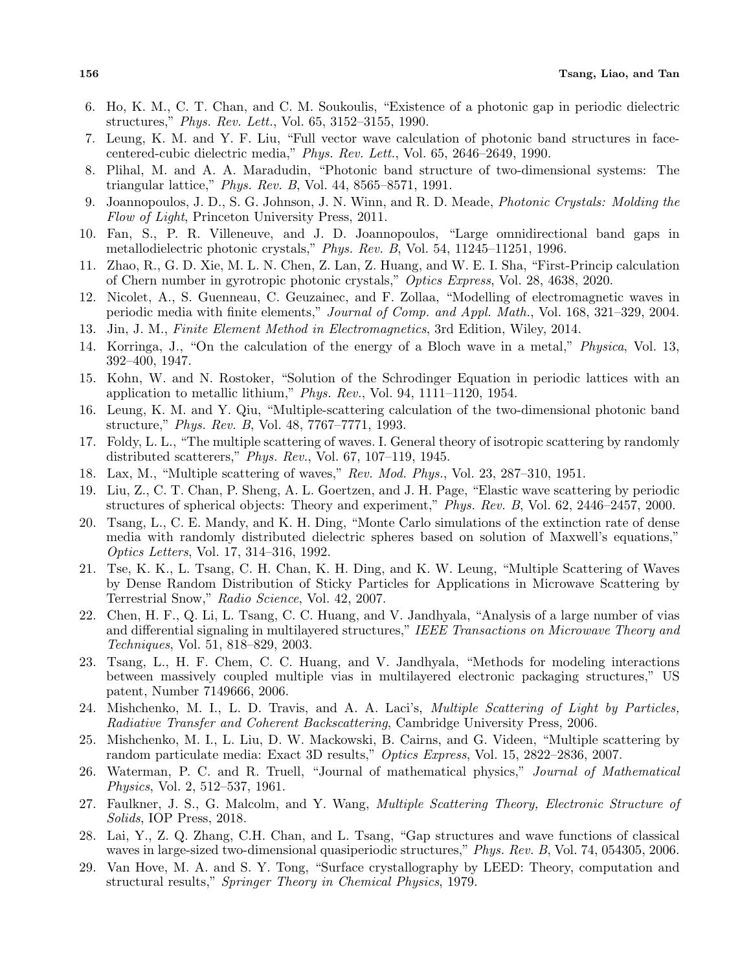- 6. Ho, K. M., C. T. Chan, and C. M. Soukoulis, "Existence of a photonic gap in periodic dielectric structures," *Phys. Rev. Lett.*, Vol. 65, 3152–3155, 1990.
- 7. Leung, K. M. and Y. F. Liu, "Full vector wave calculation of photonic band structures in facecentered-cubic dielectric media," *Phys. Rev. Lett.*, Vol. 65, 2646–2649, 1990.
- 8. Plihal, M. and A. A. Maradudin, "Photonic band structure of two-dimensional systems: The triangular lattice," *Phys. Rev. B*, Vol. 44, 8565–8571, 1991.
- 9. Joannopoulos, J. D., S. G. Johnson, J. N. Winn, and R. D. Meade, *Photonic Crystals: Molding the Flow of Light*, Princeton University Press, 2011.
- 10. Fan, S., P. R. Villeneuve, and J. D. Joannopoulos, "Large omnidirectional band gaps in metallodielectric photonic crystals," *Phys. Rev. B*, Vol. 54, 11245–11251, 1996.
- 11. Zhao, R., G. D. Xie, M. L. N. Chen, Z. Lan, Z. Huang, and W. E. I. Sha, "First-Princip calculation of Chern number in gyrotropic photonic crystals," *Optics Express*, Vol. 28, 4638, 2020.
- 12. Nicolet, A., S. Guenneau, C. Geuzainec, and F. Zollaa, "Modelling of electromagnetic waves in periodic media with finite elements," *Journal of Comp. and Appl. Math.*, Vol. 168, 321–329, 2004.
- 13. Jin, J. M., *Finite Element Method in Electromagnetics*, 3rd Edition, Wiley, 2014.
- 14. Korringa, J., "On the calculation of the energy of a Bloch wave in a metal," *Physica*, Vol. 13, 392–400, 1947.
- 15. Kohn, W. and N. Rostoker, "Solution of the Schrodinger Equation in periodic lattices with an application to metallic lithium," *Phys. Rev.*, Vol. 94, 1111–1120, 1954.
- 16. Leung, K. M. and Y. Qiu, "Multiple-scattering calculation of the two-dimensional photonic band structure," *Phys. Rev. B*, Vol. 48, 7767–7771, 1993.
- 17. Foldy, L. L., "The multiple scattering of waves. I. General theory of isotropic scattering by randomly distributed scatterers," *Phys. Rev.*, Vol. 67, 107–119, 1945.
- 18. Lax, M., "Multiple scattering of waves," *Rev. Mod. Phys.*, Vol. 23, 287–310, 1951.
- 19. Liu, Z., C. T. Chan, P. Sheng, A. L. Goertzen, and J. H. Page, "Elastic wave scattering by periodic structures of spherical objects: Theory and experiment," *Phys. Rev. B*, Vol. 62, 2446–2457, 2000.
- 20. Tsang, L., C. E. Mandy, and K. H. Ding, "Monte Carlo simulations of the extinction rate of dense media with randomly distributed dielectric spheres based on solution of Maxwell's equations," *Optics Letters*, Vol. 17, 314–316, 1992.
- 21. Tse, K. K., L. Tsang, C. H. Chan, K. H. Ding, and K. W. Leung, "Multiple Scattering of Waves by Dense Random Distribution of Sticky Particles for Applications in Microwave Scattering by Terrestrial Snow," *Radio Science*, Vol. 42, 2007.
- 22. Chen, H. F., Q. Li, L. Tsang, C. C. Huang, and V. Jandhyala, "Analysis of a large number of vias and differential signaling in multilayered structures," *IEEE Transactions on Microwave Theory and Techniques*, Vol. 51, 818–829, 2003.
- 23. Tsang, L., H. F. Chem, C. C. Huang, and V. Jandhyala, "Methods for modeling interactions between massively coupled multiple vias in multilayered electronic packaging structures," US patent, Number 7149666, 2006.
- 24. Mishchenko, M. I., L. D. Travis, and A. A. Laci's, *Multiple Scattering of Light by Particles, Radiative Transfer and Coherent Backscattering*, Cambridge University Press, 2006.
- 25. Mishchenko, M. I., L. Liu, D. W. Mackowski, B. Cairns, and G. Videen, "Multiple scattering by random particulate media: Exact 3D results," *Optics Express*, Vol. 15, 2822–2836, 2007.
- 26. Waterman, P. C. and R. Truell, "Journal of mathematical physics," *Journal of Mathematical Physics*, Vol. 2, 512–537, 1961.
- 27. Faulkner, J. S., G. Malcolm, and Y. Wang, *Multiple Scattering Theory, Electronic Structure of Solids*, IOP Press, 2018.
- 28. Lai, Y., Z. Q. Zhang, C.H. Chan, and L. Tsang, "Gap structures and wave functions of classical waves in large-sized two-dimensional quasiperiodic structures," *Phys. Rev. B*, Vol. 74, 054305, 2006.
- 29. Van Hove, M. A. and S. Y. Tong, "Surface crystallography by LEED: Theory, computation and structural results," *Springer Theory in Chemical Physics*, 1979.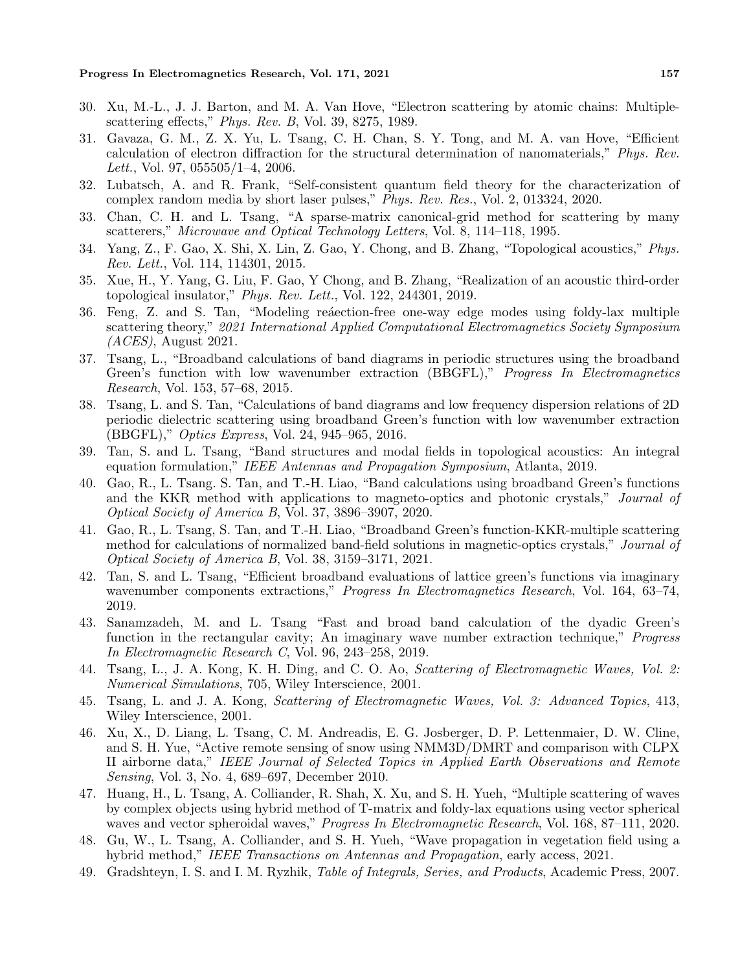- 30. Xu, M.-L., J. J. Barton, and M. A. Van Hove, "Electron scattering by atomic chains: Multiplescattering effects," *Phys. Rev. B*, Vol. 39, 8275, 1989.
- 31. Gavaza, G. M., Z. X. Yu, L. Tsang, C. H. Chan, S. Y. Tong, and M. A. van Hove, "Efficient calculation of electron diffraction for the structural determination of nanomaterials," *Phys. Rev. Lett.*, Vol. 97, 055505/1–4, 2006.
- 32. Lubatsch, A. and R. Frank, "Self-consistent quantum field theory for the characterization of complex random media by short laser pulses," *Phys. Rev. Res.*, Vol. 2, 013324, 2020.
- 33. Chan, C. H. and L. Tsang, "A sparse-matrix canonical-grid method for scattering by many scatterers," *Microwave and Optical Technology Letters*, Vol. 8, 114–118, 1995.
- 34. Yang, Z., F. Gao, X. Shi, X. Lin, Z. Gao, Y. Chong, and B. Zhang, "Topological acoustics," *Phys. Rev. Lett.*, Vol. 114, 114301, 2015.
- 35. Xue, H., Y. Yang, G. Liu, F. Gao, Y Chong, and B. Zhang, "Realization of an acoustic third-order topological insulator," *Phys. Rev. Lett.*, Vol. 122, 244301, 2019.
- 36. Feng, Z. and S. Tan, "Modeling realection-free one-way edge modes using foldy-lax multiple scattering theory," *2021 International Applied Computational Electromagnetics Society Symposium (ACES)*, August 2021.
- 37. Tsang, L., "Broadband calculations of band diagrams in periodic structures using the broadband Green's function with low wavenumber extraction (BBGFL)," *Progress In Electromagnetics Research*, Vol. 153, 57–68, 2015.
- 38. Tsang, L. and S. Tan, "Calculations of band diagrams and low frequency dispersion relations of 2D periodic dielectric scattering using broadband Green's function with low wavenumber extraction (BBGFL)," *Optics Express*, Vol. 24, 945–965, 2016.
- 39. Tan, S. and L. Tsang, "Band structures and modal fields in topological acoustics: An integral equation formulation," *IEEE Antennas and Propagation Symposium*, Atlanta, 2019.
- 40. Gao, R., L. Tsang. S. Tan, and T.-H. Liao, "Band calculations using broadband Green's functions and the KKR method with applications to magneto-optics and photonic crystals," *Journal of Optical Society of America B*, Vol. 37, 3896–3907, 2020.
- 41. Gao, R., L. Tsang, S. Tan, and T.-H. Liao, "Broadband Green's function-KKR-multiple scattering method for calculations of normalized band-field solutions in magnetic-optics crystals," *Journal of Optical Society of America B*, Vol. 38, 3159–3171, 2021.
- 42. Tan, S. and L. Tsang, "Efficient broadband evaluations of lattice green's functions via imaginary wavenumber components extractions," *Progress In Electromagnetics Research*, Vol. 164, 63–74, 2019.
- 43. Sanamzadeh, M. and L. Tsang "Fast and broad band calculation of the dyadic Green's function in the rectangular cavity; An imaginary wave number extraction technique," *Progress In Electromagnetic Research C*, Vol. 96, 243–258, 2019.
- 44. Tsang, L., J. A. Kong, K. H. Ding, and C. O. Ao, *Scattering of Electromagnetic Waves, Vol. 2: Numerical Simulations*, 705, Wiley Interscience, 2001.
- 45. Tsang, L. and J. A. Kong, *Scattering of Electromagnetic Waves, Vol. 3: Advanced Topics*, 413, Wiley Interscience, 2001.
- 46. Xu, X., D. Liang, L. Tsang, C. M. Andreadis, E. G. Josberger, D. P. Lettenmaier, D. W. Cline, and S. H. Yue, "Active remote sensing of snow using NMM3D/DMRT and comparison with CLPX II airborne data," *IEEE Journal of Selected Topics in Applied Earth Observations and Remote Sensing*, Vol. 3, No. 4, 689–697, December 2010.
- 47. Huang, H., L. Tsang, A. Colliander, R. Shah, X. Xu, and S. H. Yueh, "Multiple scattering of waves by complex objects using hybrid method of T-matrix and foldy-lax equations using vector spherical waves and vector spheroidal waves," *Progress In Electromagnetic Research*, Vol. 168, 87–111, 2020.
- 48. Gu, W., L. Tsang, A. Colliander, and S. H. Yueh, "Wave propagation in vegetation field using a hybrid method," *IEEE Transactions on Antennas and Propagation*, early access, 2021.
- 49. Gradshteyn, I. S. and I. M. Ryzhik, *Table of Integrals, Series, and Products*, Academic Press, 2007.